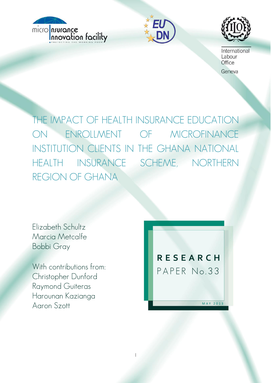





International Labour Office

Geneva

THE IMPACT OF HEALTH INSURANCE EDUCATION ON ENROLLMENT OF MICROFINANCE INSTITUTION CLIENTS IN THE GHANA NATIONAL HEALTH INSURANCE SCHEME, NORTHERN REGION OF GHANA

1

Elizabeth Schultz Marcia Metcalfe Bobbi Gray

With contributions from: Christopher Dunford Raymond Guiteras Harounan Kazianga Aaron Szott

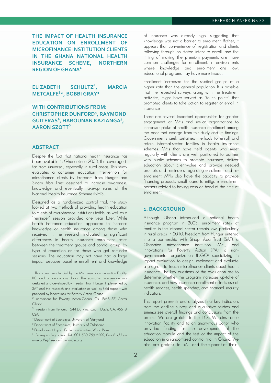**THE IMPACT OF HEALTH INSURANCE EDUCATION ON ENROLLMENT OF MICROFINANCE INSTITUTION CLIENTS IN THE GHANA NATIONAL HEALTH INSURANCE SCHEME, NORTHERN REGION OF GHANA1**

**ELIZABETH SCHULTZ<sup>2</sup> , MARCIA METCALFE3 \*, BOBBI GRAY³**

# **WITH CONTRIBUTIONS FROM: CHRISTOPHER DUNFORD³, RAYMOND**  GUITERAS<sup>4</sup>, HAROUNAN KAZIANGA<sup>5</sup>, **AARON SZOTT6**

## **ABSTRACT**

 $\overline{a}$ 

Despite the fact that national health insurance has been available in Ghana since 2003, the coverage is far from universal, especially in rural areas. This study evaluates a consumer education intervention for microfinance clients by Freedom from Hunger and Sinapi Aba Trust designed to increase awareness, knowledge and eventually take-up rates of the National Health Insurance Scheme (NHIS).

Designed as a randomized control trial, the study looked at two methods of providing health education to clients of microfinance institutions (MFIs) as well as a "reminder" session provided one year later. While health insurance education appeared to increase knowledge of health insurance among those who received it, the research indicated no significant differences in health insurance enrollment rates between the treatment groups and control group, by type of education or for those who got reminder sessions. The education may not have had a large impact because baseline enrollment and knowledge

of insurance was already high, suggesting that knowledge was not a barrier to enrollment. Rather, it appears that convenience of registration and clients following through on stated intent to enroll, and the timing of making the premium payments are more common challenges for enrollment. In environments where knowledge and enrollment are low, educational programs may have more impact.

Enrollment increased for the studied groups at a higher rate than the general population. It is possible that the repeated surveys, along with the treatment activities, might have served as "touch points" that prompted clients to take action to register or enroll in insurance.

There are several important opportunities for greater engagement of MFIs and similar organizations to increase uptake of health insurance enrollment among the poor that emerge from this study and its findings. Governments seek sustained methods to enroll and retain informal-sector families in health insurance schemes. MFIs that have field agents who meet regularly with clients are well positioned to partner with public schemes to promote insurance, deliver education about client-value and provide needed prompts and reminders regarding enrollment and reenrollment. MFIs also have the capacity to provide financing products (small loans) to mitigate enrollment barriers related to having cash on hand at the time of enrollment.

## **1. BACKGROUND**

Although Ghana introduced a national health insurance program in 2003, enrollment rates of families in the informal sector remain low, particularly in rural areas. In 2010, Freedom from Hunger entered into a partnership with Sinapi Aba Trust (SAT), a Ghanaian microfinance institution (MFI), and Innovations for Poverty Action (IPA), a nongovernmental organization (NGO) specializing in impact evaluation, to design, implement and evaluate a program to teach microfinance clients about health insurance. The key questions of this evaluation are to determine whether the program increases up-take of insurance, and how insurance enrollment affects use of health services, health spending, and financial security indicators.

This report presents and analyzes final key indicators from the endline survey and qualitative studies and summarizes overall findings and conclusions from the project. We are grateful to the ILO's Microinsurance Innovation Facility and to an anonymous donor who provided funding for the development of the education module and the test of the impact of the education in a randomized control trial in Ghana. We also are grateful to SAT and the suppor t of their

<sup>&</sup>lt;sup>1</sup> This project was funded by the Microinsurance Innovation Facility, ILO and an anonymous donor. The education intervention was designed and developed by Freedom from Hunger, implemented by SAT and the research and evaluation as well as field support was provided by Innovations for Poverty Action–Ghana.

<sup>2</sup> Innovations for Poverty Action-Ghana, Osu PMB 57, Accra, Ghana

<sup>&</sup>lt;sup>3</sup> Freedom from Hunger, 1644 Da Vinci Court, Davis, CA, 95618, USA.

<sup>4</sup> Department of Economics, University of Maryland

<sup>5</sup> Department of Economics, University of Oklahoma

<sup>6</sup> Development Impact Evaluation Initiative, World Bank

<sup>\*</sup> Corresponding author: Tel.: 001 530 758 6200; E-mail address: mmetcalfe@freedomfromhunger.org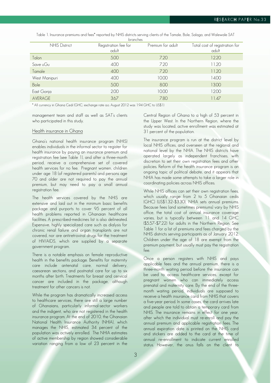Table 1. Insurance premiums and fees\* reported by NHIS districts serving clients of the Tamale, Bole, Salaga, and Walewale SAT

| branches             |                               |                   |                                         |  |
|----------------------|-------------------------------|-------------------|-----------------------------------------|--|
| <b>NHIS District</b> | Registration fee for<br>adult | Premium for adult | Total cost of registration for<br>adult |  |
| Talon                | 5.00                          | 7.20              | 12.20                                   |  |
| Save uGu             | 4.00                          | 7.20              | 11.20                                   |  |
| Tamale               | 4.00                          | 7.20              | 11.20                                   |  |
| West Manipuri        | 4.00                          | 10.00             | 14.00                                   |  |
| Bole                 | 5.00                          | 8.00              | 13.00                                   |  |
| East Gonja           | 2.00                          | 10.00             | 12.00                                   |  |
| <b>AVERAGE</b>       | 3.67                          | 7.80              | 11.47                                   |  |

\* All currency in Ghana Cedi (GHC; exchange rate a.o. August 2012 was 1.94 GHC to US\$1)

management team and staff as well as SAT's clients who participated in this study.

## Health insurance in Ghana

Ghana's national health insurance program (NHIS) enables individuals in the informal sector to register for health insurance by paying an insurance premium and registration fee (see Table 1), and after a three-month period, receive a comprehensive set of covered health services for no fee. Pregnant women, children under age 18 (of registered parents) and persons age 70 and older are not required to pay the annual premium, but may need to pay a small annual registration fee.

The health services covered by the NHIS are extensive and laid out in the minimum basic benefits package and purports to cover 95 percent of all health problems reported in Ghanaian healthcare facilities. A prescribed-medicines list is also delineated. Expensive, highly specialized care such as dialysis for chronic renal failure and organ transplants are not covered, nor are antiretroviral drugs for the treatment of HIV/AIDS, which are supplied by a separate government program.

There is a notable emphasis on female reproductive health in the benefits package. Benefits for maternity care include antenatal care, normal delivery, caesarean sections, and postnatal care for up to six months after birth. Treatments for breast and cervical cancer are included in the package, although treatment for other cancers is not.

While the program has dramatically increased access to healthcare services, there are still a large number of Ghanaians, particularly informal-sector workers and the indigent, who are not registered in the health insurance program. At the end of 2010, the Ghanaian National Health Insurance Authority (NHIA), which manages the NHIS, estimated 34 percent of the population was actively enrolled. The NHIA estimates of active membership by region showed considerable variation ranging from a low of 23 percent in the Central Region of Ghana to a high of 53 percent in the Upper West. In the Northern Region, where the study was located, active enrollment was estimated at 31 percent of the population.

The insurance program is run at the district level by local NHIS offices, and overseen at the regional and national level by the NHIA. The NHIS districts have operated largely as independent franchises, with discretion to set their own registration fees and other policies. Reform of the health insurance program is an ongoing topic of political debate, and it appears that NHIA has made some attempts to take a larger role in coordinating policies across NHIS offices.

While NHIS offices can set their own registration fees, which usually range from 2 to 5 Ghanaian cedis (GHC) (US\$1.32–\$3.30), NHIA sets annual premiums. Because fees (and sometimes premiums) vary by NHIS office, the total cost of annual insurance coverage varies, but is typically between 11 and 14 GHC (\$5.57–\$7.22) for adults in the Northern Region. See Table 1 for a list of premiums and fees charged by the NHIS districts serving participants as of January 2012. Children under the age of 18 are exempt from the premium payment, but usually must pay the registration fee.

Once a person registers with NHIS and pays applicable fees and the annual premium, there is a three-month waiting period before the insurance can be used to access healthcare services, except for pregnant women who can immediately access prenatal and maternity care. By the end of the threemonth waiting period, individuals are supposed to receive a health insurance card from NHIS that covers a five-year period. In some cases, the card arrives late and people are told to obtain a temporary card from NHIS. The insurance remains in effect for one year, after which the individual must re-enroll and pay the annual premium and applicable registration fees. The annual expiration date is printed on the NHIS card and stickers are added to the card at the time of annual re-enrollment to indicate current enrolled status. However, the onus falls on the client to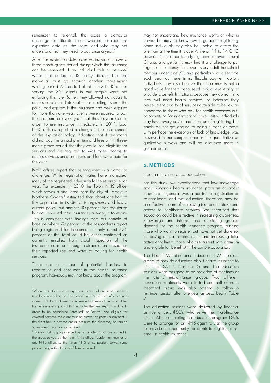remember to re-enroll; this poses a particular challenge for illiterate clients who cannot read the expiration date on the card, and who may not understand that they need to pay once a year.<sup>7</sup>

After the expiration date, covered individuals have a three-month grace period during which the insurance can be renewed. If an individual fails to re-enroll within that period, NHIS policy dictates that the individual must go through another three-month waiting period. At the start of this study, NHIS offices serving the SAT clients in our sample were not enforcing this rule. Rather, they allowed individuals to access care immediately after re-enrolling, even if the policy had expired. If the insurance had been expired for more than one year, clients were required to pay the premium for every year that they have missed in order to use insurance immediately. In 2011, local NHIS officers reported a change in the enforcement of the expiration policy, indicating that if registrants did not pay the annual premium and fees within threemonth grace period, that they would lose eligibility for services and be required to wait three months to access services once premiums and fees were paid for the year.

NHIS offices report that re-enrollment is a particular challenge. While registration rates have increased, many of the registered individuals fail to re-enroll each year. For example, in 2010 the Tolon NHIS office, which serves a rural area near the city of Tamale in Northern Ghana,<sup>8</sup> estimated that about one-half of the population in its district is registered and has a current policy, but another 30 percent has registered but not renewed their insurance, allowing it to expire. This is consistent with findings from our sample at baseline where 70 percent of the respondents report being registered for insurance, but only about 32.6 percent of the total could be either confirmed as currently enrolled from visual inspection of the insurance card or through extrapolation based on their reported use and ways of paying for health services.

There are a number of potential barriers to registration and enrollment in the health insurance program. Individuals may not know about the program,

 $\overline{a}$ 

may not understand how insurance works or what is covered or may not know how to go about registering. Some individuals may also be unable to afford the premium at the time it is due. While an 11 to 14 GHC payment is not a particularly high amount even in rural Ghana, a large family may find it a challenge to put together the money to cover every adult household member under age 70, and particularly at a set time each year as there is no flexible payment option. Individuals may also believe that insurance is not a good value for them because of lack of availability of providers, benefit limitations, because they do not think they will need health services, or because they perceive the quality of services available to be low as compared to those who pay for health expenses outof-pocket, or "cash and carry" care. Lastly, individuals may have every desire and intention of registering, but simply do not get around to doing it. Each of these, with perhaps the exception of lack of knowledge, was observed in our sample either in the quantitative or qualitative surveys and will be discussed more in greater detail.

## **2. METHODS**

#### Health microinsurance education

For this study, we hypothesized that low knowledge about Ghana's health insurance program or about insurance in general was a barrier to registration or re-enrollment, and that education, therefore, may be an effective means of increasing insurance uptake and access to healthcare services. We theorized that education could be effective in increasing awareness, knowledge and interest and stimulating greater demand for the health insurance program, pushing those who want to register but have not yet done so, increasing annual re-enrollment, and increasing total active enrollment (those who are current with premium and eligible for benefits) in the sample population.

The Health Microinsurance Education (HME) project aimed to provide education about health insurance to clients of SAT in Northern Ghana. The education sessions were designed to be provided at meetings of the clients' microfinance groups. Two different education treatments were tested and half of each treatment group was also offered a follow-up reminder session after one year as described in Table  $\mathcal{P}$ 

 $7$ When a client's insurance expires at the end of one year, the client is still considered to be "registered" with NHIS—her information is stored in NHIS databases. If she re-enrolls, a new sticker is provided for her membership card that indicates the new expiration date. In order to be considered "enrolled" or "active" and eligible for covered services, the client must be current on premium payment. If the client fails to pay the annual premium, the client may be termed "unenrolled," "inactive" or "expired."

<sup>&</sup>lt;sup>8</sup> Some of SAT's groups served by its Tamale branch are located in the areas served by the Tolon NHIS office. People may register at any NHIS office, so the Tolon NHIS office possibly serves some people living within the city of Tamale as well.

The education sessions were delivered by financial service officers (FSOs) who serve the microfinance clients. After completing the education program, FSOs were to arrange for an NHIS agent to visit the group to provide an opportunity for clients to register or reenroll in health insurance.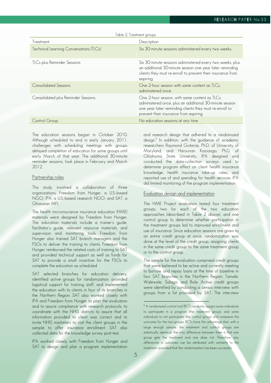| Table 2: Treatment groups                      |                                                                                                                                                                                                                |  |  |
|------------------------------------------------|----------------------------------------------------------------------------------------------------------------------------------------------------------------------------------------------------------------|--|--|
| Treatment                                      | Description                                                                                                                                                                                                    |  |  |
| <b>Technical Learning Conversations (TLCs)</b> | Six 30-minute sessions administered every two weeks.                                                                                                                                                           |  |  |
| TLCs plus Reminder Sessions                    | Six 30-minute sessions administered every two weeks, plus<br>an additional 30-minute session one year later reminding<br>clients they must re-enroll to prevent their insurance from<br>expiring.              |  |  |
| <b>Consolidated Sessions</b>                   | One 2-hour session with same content as TLCs,<br>administered once.                                                                                                                                            |  |  |
| Consolidated plus Reminder Sessions            | One 2-hour session, with same content as TLCs,<br>administered once, plus an additional 30-minute session<br>one year later reminding clients they must re-enroll to<br>prevent their insurance from expiring. |  |  |
| Control Group                                  | No education sessions at any time                                                                                                                                                                              |  |  |

The education sessions began in October 2010. Although scheduled to end in early January 2011, challenges with scheduling meetings with groups delayed completion of education for some groups until early March of that year. The additional 30-minute reminder sessions, took place in February and March 2012.

## Partnership roles

This study involved a collaboration of three organizations: Freedom from Hunger, a U.S.-based NGO; IPA, a U.S.-based research NGO; and SAT, a Ghanaian MFI.

The health microinsurance insurance education (HME) materials were designed by Freedom from Hunger. The education materials include a trainer's guide, facilitator's guide, relevant resource materials, and supervision and monitoring tools. Freedom from Hunger also trained SAT branch managers and the FSOs to deliver the training to clients. Freedom from Hunger reimbursed the related costs of training to SAT and provided technical support as well as funds for SAT to provide a small incentive for the FSOs to complete the education as scheduled.

SAT selected branches for education delivery, identified active groups for randomization, provided logistical support for training staff, and implemented the education with its clients in four of its branches in the Northern Region. SAT also worked closely with IPA and Freedom from Hunger to plan the evaluation and to assure compliance with research protocols, to coordinate with the NHIS districts to assure that all information provided to client was correct and to invite NHIS marketers to visit the client groups in the sample to offer insurance enrollment. SAT also collected data for the knowledge survey post-test.

IPA worked closely with Freedom from Hunger and SAT to design and plan a program implementation

and research design that adhered to a randomized design.<sup>9</sup> In addition, with the guidance of academic researchers Raymond Guiteras, Ph.D. of University of Maryland, and Harounan Kazianga, Ph.D. of Oklahoma State University, IPA designed and conducted the data-collection surveys used to determine program effect on client health insurance knowledge, health insurance take-up rates, and reported use of and spending for health services. IPA did limited monitoring of the program implementation.

### Evaluation design and implementation

The HME Project evaluation tested four treatment groups, two for each of the two education approaches (described in Table 2 above), and one control group to determine whether participation in the treatment groups led to improved enrollment and use of insurance. Since education sessions are given to an entire credit group at once, randomization was done at the level of the credit group, assigning clients in the same credit group to the same treatment group or to the control group.

The sample for the evaluation comprised credit groups that were believed to be active and currently meeting to borrow and repay loans at the time of baseline in four SAT branches in the Northern Region: Tamale, Walewale, Salaga, and Bole. Active credit groups were identified by conducting a census interview with groups from a list provided by SAT. The interview

 $\overline{a}$ 

<sup>&</sup>lt;sup>9</sup> A randomized control trial (RCT) randomly assigns some individuals to participate in a program (the treatment group), and some individuals to not participate (the control group) and compares the outcomes for the two groups. RCTs have the advantage that, with a large enough sample, the treatment and control groups are statistically identical; the only difference between them is that one group gets the treatment and one does not. Therefore, any differences in outcomes can be attributed with certainty to the treatment, provided that the randomization has been successful.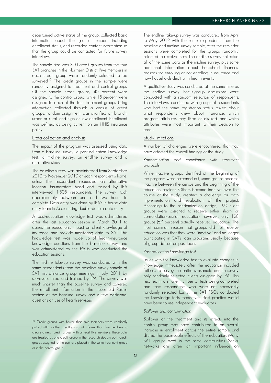ascertained active status of the group, collected basic information about the group members including enrollment status, and recorded contact information so that the group could be contacted for future survey interviews.

The sample size was 300 credit groups from the four SAT branches in the Northern District. Five members in each credit group were randomly selected to be surveyed.<sup>10</sup> The credit groups in the sample were randomly assigned to treatment and control groups. Of the sample credit groups, 40 percent were assigned to the control group, while 15 percent were assigned to each of the four treatment groups. Using information collected through a census of credit groups, random assignment was stratified on branch, urban or rural, and high or low enrollment. Enrollment was defined as being current on an NHIS insurance policy.

#### Data-collection and analysis

The impact of the program was assessed using data from a baseline survey, a post-education knowledge test, a midline survey, an endline survey and a qualitative study.

The baseline survey was administered from September 2010 to November 2010 at each respondent's home, unless the respondent requested an alternative location. Enumerators hired and trained by IPA interviewed 1,505 respondents. The survey took approximately between one and two hours to complete. Data entry was done by IPA's in-house data entry team in Accra, using double-double data entry.

A post-education knowledge test was administered after the last education session in March 2011 to assess the education's impact on client knowledge of insurance and provide monitoring data to SAT. This knowledge test was made up of health-insurance knowledge questions from the baseline survey and was administered by the FSOs who conducted the education sessions.

The midline take-up survey was conducted with the same respondents from the baseline survey sample at SAT microfinance group meetings in July 2011 by surveyors hired and trained by IPA. The survey was much shorter than the baseline survey and covered the enrollment information in the Household Roster section of the baseline survey and a few additional questions on use of health services.

 $\overline{a}$ 

The endline take-up survey was conducted from April to May 2012 with the same respondents from the baseline and midline survey sample, after the reminder sessions were completed for the groups randomly selected to receive them. The endline survey collected all of the same data as the midline survey, plus some additional information about household finances, reasons for enrolling or not enrolling in insurance and how households dealt with health events.

A qualitative study was conducted at the same time as the endline survey. Focus-group discussions were conducted with a random selection of respondents. The interviews, conducted with groups of respondents who had the same registration status, asked about what respondents knew about insurance, which program attributes they liked or disliked, and which attributes were most important to their decision to enroll.

## Study limitations

A number of challenges were encountered that may have affected the overall findings of the study.

#### Randomization and compliance with treatment protocols

While inactive groups identified at the beginning of the program were screened out, some groups became inactive between the census and the beginning of the education sessions. Others became inactive over the course of the study, creating a challenge for both implementation and evaluation of the project. According to the randomization design, 190 client groups were assigned to receive either short- or consolidation-session education; however, only 128 groups (67 percent) actually received education. The most common reason that groups did not receive education was that they were "inactive" and no longer participating in SAT's loan program, usually because of group default on past loans.

#### Post-education knowledge test

Issues with the knowledge test to evaluate changes in knowledge immediately after the education included failures to survey the entire subsample and to survey only randomly selected clients assigned by IPA. This resulted in a smaller number of tests being completed and from respondents who were not necessarily randomly selected. Lastly, the SAT FSOs conducted the knowledge tests themselves. Best practice would have been to use independent evaluators.

#### Spillover and contamination

Spillover of the treatment and its effects into the control group may have contributed to an overall increase in enrollment across the entire sample and diluted the observable effects of the education. Many SAT groups meet in the same communities. Social networks are often an important influence on

<sup>&</sup>lt;sup>10</sup> Credit groups with fewer than five members were randomly paired with another credit group with fewer than five members to create a new "credit group" with at least five members. These pairs are treated as one credit group in the research design; both credit groups assigned to the pair are placed in the same treatment group or in the control group.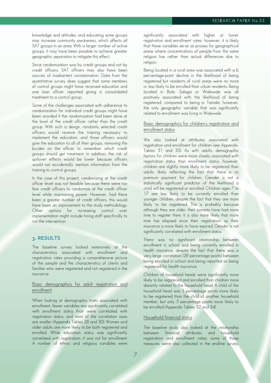knowledge and attitudes, and educating some groups may increase community awareness, which affects all SAT groups in an area. With a larger number of active groups, it may have been possible to achieve greater geographic separation to mitigate this effect.

Since randomization was by credit groups and not by credit officers, SAT officers may also have been sources of inadvertent contamination. Data from the quantitative survey does suggest that some members of control groups might have received education and one loan officer reported giving a consolidated treatment to a control group.

Some of the challenges associated with adherence to randomization for individual credit groups might have been avoided if the randomization had been done at the level of the credit officer rather than the credit group. With such a design, randomly selected credit officers would receive the training necessary to implement the education, and those officers would give the education to all of their groups, removing the burden on the officer to remember which credit groups should get treatment. In addition, the risk of spillover effects would be lower because officers would not accidentally mention information from the training to control groups.

In the case of this project, randomizing at the credit officer level was not feasible because there were too few credit officers to randomize at the credit officer level while maintaining power. However, had there been a greater number of credit officers, this would have been an improvement to the study methodology. Other options for increasing control over implementation might include hiring staff specifically to run the intervention.

## **3. RESULTS**

The baseline survey looked extensively at the characteristics associated with enrollment and registration rates providing a comprehensive picture of the sample and the characteristics of clients and families who were registered and not registered in the insurance.

## Basic demographics for adult registration and enrollment

When looking at demographic traits associated with enrollment, fewer variables are significantly correlated with enrollment status than were correlated with registration status, and most of the correlation sizes are smaller (Appendix Tables 28 and 30). Women and older adults are more likely to be both registered and enrolled. While education status was significantly correlated with registration, it was not for enrollment. A number of ethnic and religious variables were significantly associated with higher or lower registration and enrollment rates; however, it is likely that these variables serve as proxies for geographical areas where concentrations of people from the same religion live rather than actual differences due to religion.

Being located in a rural area was associated with a 6 percentage-point decline in the likelihood of being registered but residents of rural areas were no more or less likely to be enrolled than urban residents. Being located in Bole, Salaga or Walewale was all positively associated with the likelihood of being registered, compared to being in Tamale; however, the only geographic variable that was significantly related to enrollment was living in Walewale.

### Basic demographics for children's registration and enrollment status

We also looked at attributes associated with registration and enrollment for children (see Appendix, Tables 31 and 33). As with adults, demographic factors for children were more closely associated with registration status than enrollment status; however, children are slightly more likely to be registered than adults, likely reflecting the fact that there is no premium payment for children. Gender is not a statistically significant predictor of the likelihood a child will be registered or enrolled. Children ages 7 to 17 are less likely to be currently enrolled than younger children, despite the fact that they are more likely to be registered. This is probably because although they are older, their parents have had more time to register them. It is also more likely that more time has elapsed since their registration, so their insurance is more likely to have expired. Gender is not significantly correlated with enrollment status.

There was no significant relationship between enrollment in school and being currently enrolled in health insurance, despite the fact that there was a very large correlation (28 percentage points) between being enrolled in school and being reported as being registered for health insurance.

Children of household heads were significantly more likely to be registered and enrolled than children more distantly related to the household head. A child of the household head was 5 percentage points more likely to be registered than the child of another household member, but only 3 percentage points more likely to be enrolled (Appendix Tables 32 and 34).

## Household financial status

The baseline study also looked at the relationship between financial attributes and household registration and enrollment rates; some of these measures were also collected in the endline survey.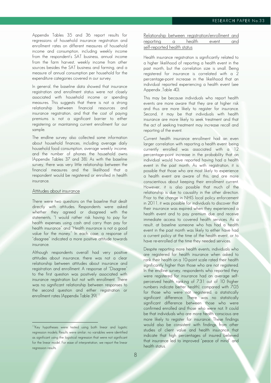Appendix Tables 35 and 36 report results for regressions of household insurance registration and enrollment rates on different measures of household income and consumption, including weekly income from the respondent's SAT business, annual income from the farm harvest, weekly income from other sources besides the SAT business and farming, and a measure of annual consumption per household for the expenditure categories covered in our survey.

In general, the baseline data showed that insurance registration and enrollment status were not closely associated with household income or spending measures. This suggests that there is not a strong relationship between financial resources and insurance registration, and that the cost of paying premiums is not a significant barrier to either registering or maintaining current enrollment for our sample.

The endline survey also collected some information about household finances, including average daily household food consumption, average weekly income, and the number of phones the household owns (Appendix Tables 37 and 38). As with the baseline survey, there was very little relationship between the financial measures and the likelihood that a respondent would be registered or enrolled in health insurance.

#### Attitudes about insurance

 $\overline{a}$ 

There were two questions on the baseline that dealt directly with attitudes. Respondents were asked whether they agreed or disagreed with the statements, "I would rather risk having to pay for health expenses using cash and carry than pay for health insurance" and "Health insurance is not a good value for the money." In each case, a response of "disagree" indicated a more positive attitude towards insurance.

Although respondents overall had very positive attitudes about insurance, there was not a clear relationship between attitudes about insurance and registration and enrollment. A response of "Disagree" to the first question was positively associated with insurance registration but not with enrollment. There was no significant relationship between responses to the second question and either registration or enrollment rates (Appendix Table 39).<sup>11</sup>

| Relationship between registration/enrollment and |  |  |
|--------------------------------------------------|--|--|
| reporting a health event and                     |  |  |
| self-reported health status                      |  |  |

Health insurance registration is significantly related to a higher likelihood of reporting a health event in the past month, but the correlation size is small. Being registered for insurance is correlated with a 2 percentage-point increase in the likelihood that an individual reported experiencing a health event (see Appendix ,Table 40).

This may be because individuals who report health events are more aware that they are at higher risk and thus are more likely to register for insurance. Second, it may be that individuals with health insurance are more likely to seek treatment and that the act of seeking treatment may increase recall and reporting of the event.

Current health insurance enrollment had an even larger correlation with reporting a health event: being currently enrolled was associated with a 12 percentage-point increase in the probability that an individual would have reported having had a health event in the past month. As with registration, it is possible that those who are most likely to experience a health event are aware of this, and are more conscientious about keeping their enrollment current. However, it is also possible that much of the relationship is due to causality in the other direction. Prior to the change in NHIS local policy enforcement in 2011, it was possible for individuals to discover that their insurance was expired when they experienced a health event and to pay premium due and receive immediate access to covered health services. As a result, at baseline someone who has had a health event in the past month was likely to either have had a current policy at the time of the health event, or to have re-enrolled at the time they needed services.

Despite reporting more health events, individuals who are registered for health insurance when asked to rank their health on a 10-point scale rated their health significantly higher than those who are not registered. In the endline survey, respondents who reported they were registered for insurance had an average selfperceived health ranking of 7.31 out of 10 (higher numbers indicate better health), compared with 7.05 for those who were not registered, a statistically significant difference. There was no statistically significant difference between those who were confirmed enrolled and those who were not. It could be that individuals who are more health conscious are more likely to register for insurance. These findings would also be consistent with findings from other studies of client value and health insurance that indicate that high percentages of insured believed that insurance led to improved "peace of mind" and health status.

<sup>&</sup>lt;sup>11</sup>Key hypotheses were tested using both linear and logistic regression models. Results were similar; no variables were identified as significant using the logistical regression that were not significant for the linear model. For ease of interpretation, we report the linear regression results.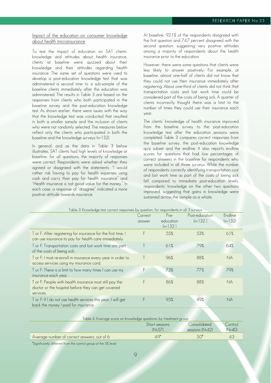## Impact of the education on consumer knowledge about health microinsurance

To test the impact of education on SAT clients' knowledge and attitudes about health insurance, clients at baseline were quizzed about their knowledge and their attitudes regarding health insurance. The same set of questions were used to develop a post-education knowledge test that was administered a second time to a sub-sample of the baseline clients immediately after the education was administered. The results in Table 3 are based on the responses from clients who both participated in the baseline survey and the post-education knowledge test. As shown earlier, there were issues with the way that the knowledge test was conducted that resulted in both a smaller sample and the inclusion of clients who were not randomly selected. The measures below reflect only the clients who participated in both the baseline and the knowledge surveys (n=132).

In general, and as the data in Table 3 below illustrates, SAT clients had high levels of knowledge at baseline; for all questions, the majority of responses were correct. Respondents were asked whether they agreed or disagreed with the statements, "I would rather risk having to pay for health expenses using cash and carry than pay for health insurance" and "Health insurance is not good value for the money." In each case, a response of "disagree" indicated a more positive attitude towards insurance.

At baseline, 92.1% of the respondents disagreed with the first question and 74.7 percent disagreed with the second question, suggesting very positive attitudes among a majority of respondents about the health insurance prior to the education.

However, there were some questions that clients were less likely to answer positively. For example, at baseline, almost one-half of clients did not know that they could not use their insurance immediately after registering. About one-third of clients did not think that transportation costs and lost work time could be considered part of the costs of being sick. A quarter of clients incorrectly thought there was a limit to the number of times they could use their insurance each year.

The clients' knowledge of health insurance improved from the baseline survey to the post-education knowledge test after the education sessions were completed. Table 3 compares correct responses from the baseline survey, the post-education knowledge quiz subset and the endline. It also reports endline scores for questions that had low percentages of correct answers in the baseline for respondents who were included in all three surveys. While the number of respondents correctly identifying transportation cost and lost work time as part of the costs of being sick fell compared to immediate post-education levels, respondents' knowledge on the other two questions improved, suggesting that gains in knowledge were sustained across the sample as a whole.

| Table 5: Milowiedde Test correct responses by difestion, for respondents in air 3 surveys                                  |                   |                                |                             |                      |
|----------------------------------------------------------------------------------------------------------------------------|-------------------|--------------------------------|-----------------------------|----------------------|
|                                                                                                                            | Correct<br>answer | Pre-<br>education<br>$(n=132)$ | Post-education<br>$(n=132)$ | Endline<br>$(n=132)$ |
| T or F: After registering for insurance for the first time, I<br>can use insurance to pay for health care immediately.     | F                 | 55%                            | 53%                         | 61%                  |
| T or F: Transportation costs and lost work time are part<br>of the costs of being sick.                                    |                   | 61%                            | 79%                         | 64%                  |
| T or F: I must re-enroll in insurance every year in order to<br>access services using my insurance card.                   |                   | 96%                            | 88%                         | <b>NA</b>            |
| T or F: There is a limit to how many times I can use my<br>insurance each year.                                            | F                 | 73%                            | 77%                         | 79%                  |
| T or F: People with health insurance must still pay the<br>doctor or the hospital before they can get covered<br>services. | F                 | 86%                            | 88%                         | <b>NA</b>            |
| T or F: If I do not use health services this year, I will get<br>back the money I paid for insurance.                      | F                 | 95%                            | 89%                         | NA                   |

Table 3. Knowledge test correct responses by question, for respondents in all 3 surveys

| Table 4. Average score on knowledge questions, by treatment group |                |                   |            |  |
|-------------------------------------------------------------------|----------------|-------------------|------------|--|
|                                                                   | Short sessions | Consolidated      | Control    |  |
|                                                                   | $(N=57)$       | sessions $(N=42)$ | $(N=40)$   |  |
| Average number of correct answers, out of 6                       | $\Delta Q^*$   | $.50*$            | $\Delta$ . |  |
|                                                                   |                |                   |            |  |

\*Significantly different from the control group at the 5% level.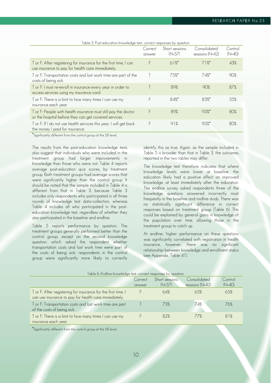|                                                                                                                         | Correct<br>answer | Short sessions<br>$(N=57)$ | Consolidated<br>sessions (N=42) | Control<br>$(N=40)$ |
|-------------------------------------------------------------------------------------------------------------------------|-------------------|----------------------------|---------------------------------|---------------------|
| T or F: After registering for insurance for the first time, I can<br>use insurance to pay for health care immediately.  |                   | $61\%$                     | $71\%$                          | 43%                 |
| T or F: Transportation costs and lost work time are part of the<br>costs of being sick.                                 |                   | 75%                        | 74%                             | 90%                 |
| T or F: I must re-enroll in insurance every year in order to<br>access services using my insurance card.                |                   | 89%                        | 90%                             | 87%                 |
| T or F: There is a limit to how many times I can use my<br>insurance each year.                                         | F                 | 84%*                       | 83%*                            | 55%                 |
| T or F: People with health insurance must still pay the doctor<br>or the hospital before they can get covered services. | F                 | 89%                        | $93\%$                          | 80%                 |
| T or F: If I do not use health services this year, I will get back<br>the money I paid for insurance.                   | F                 | 91%                        | 95%                             | 80%                 |

Table 5. Post-education knowledge test, correct responses by question

\*Significantly different from the control group at the 5% level.

The results from the post-education knowledge tests also suggest that individuals who were included in the treatment group had larger improvements in knowledge than those who were not. Table 4 reports average post-education quiz scores, by treatment group. Both treatment groups had average scores that were significantly higher than the control group. It should be noted that the sample included in Table 4 is different from that in Table 3, because Table 3 includes only respondents who participated in all three rounds of knowledge test data-collection, whereas Table 4 includes all who participated in the posteducation knowledge test, regardless of whether they also participated in the baseline and endline.

Table 5 reports performance by question. The treatment groups generally performed better than the control group, except on the second knowledge question, which asked the respondent whether transportation costs and lost work time were part of the costs of being sick; respondents in the control group were significantly more likely to correctly

identify this as true. Again, as the sample included in Table 5 is broader than that in Table 3, the outcomes reported in the two tables may differ.

The knowledge test therefore indicates that where knowledge levels were lower at baseline, the education likely had a positive effect on improved knowledge, at least immediately after the education. The endline survey asked respondents three of the knowledge questions answered incorrectly most frequently in the baseline and midline study. There was no statistically significant difference in correct responses based on treatment group (Table 6). This could be explained by general gains in knowledge of the population over time, allowing those in the treatment group to catch up.

At endline, higher performance on these questions was significantly correlated with registration in health insurance, however, there was no significant relationship between knowledge and enrollment status (see Appendix, Table 41).

| Table 6. Endline knowledge test, correct responses by question                                                         |                   |                            |                                 |                     |  |
|------------------------------------------------------------------------------------------------------------------------|-------------------|----------------------------|---------------------------------|---------------------|--|
|                                                                                                                        | Correct<br>answer | Short sessions<br>$(N=57)$ | Consolidated<br>sessions (N=42) | Control<br>$(N=40)$ |  |
| T or F: After registering for insurance for the first time, I<br>can use insurance to pay for health care immediately. |                   | 64%                        | 6.5%                            | 65%                 |  |
| T or F: Transportation costs and lost work time are part<br>of the costs of being sick.                                |                   | 73%                        | 74%                             | 76%                 |  |
| T or F: There is a limit to how many times I can use my<br>insurance each year.                                        |                   | 82%                        | 77%                             | 81%                 |  |

\*Significantly different from the control group at the 5% level.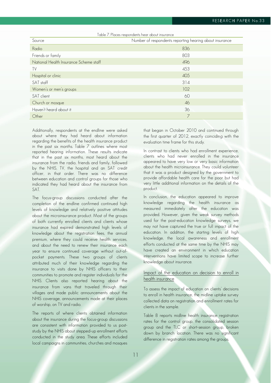| Table 7. Places respondents hear about insurance |                                                         |  |  |
|--------------------------------------------------|---------------------------------------------------------|--|--|
| Source                                           | Number of respondents reporting hearing about insurance |  |  |
| Radio                                            | 836                                                     |  |  |
| Friends or family                                | 803                                                     |  |  |
| National Health Insurance Scheme staff           | 496                                                     |  |  |
| TV                                               | 453                                                     |  |  |
| Hospital or clinic                               | 405                                                     |  |  |
| SAT staff                                        | 314                                                     |  |  |
| Women's or men's groups                          | 102                                                     |  |  |
| SAT client                                       | 60                                                      |  |  |
| Church or mosque                                 | 46                                                      |  |  |
| Haven't heard about it                           | 36                                                      |  |  |
| Other                                            |                                                         |  |  |

Additionally, respondents at the endline were asked about where they had heard about information regarding the benefits of the health insurance product in the past six months. Table 7 outlines where most reported hearing information. These results indicate that in the past six months, most heard about the insurance from the radio, friends and family, followed by the NHIS, TV, the hospital and an SAT credit officer, in that order. There was no difference between education and control groups for those who indicated they had heard about the insurance from SAT.

The focus-group discussions conducted after the completion of the endline confirmed continued high levels of knowledge and relatively positive attitudes about the microinsurance product. Most of the groups of both currently enrolled clients and clients whose insurance had expired demonstrated high levels of knowledge about the registration fees, the annual premium, where they could receive health services, and about the need to renew their insurance each year to ensure continued coverage without out-ofpocket payments. These two groups of clients attributed much of their knowledge regarding the insurance to visits done by NHIS officers to their communities to promote and register individuals for the NHIS. Clients also reported hearing about the insurance from vans that traveled through their villages and made public announcements about the NHIS coverage, announcements made at their places of worship, on TV and radio.

The reports of where clients obtained information about the insurance during the focus-group discussions are consistent with information provided to us poststudy by the NHIS about stepped-up enrollment efforts conducted in the study area. These efforts included local campaigns in communities, churches and mosques that began in October 2010 and continued through the first quarter of 2012, exactly coinciding with the evaluation time frame for this study.

In contrast to clients who had enrollment experience, clients who had never enrolled in the insurance appeared to have very low or very basic information about the health microinsurance. They could volunteer that it was a product designed by the government to provide affordable health care for the poor but had very little additional information on the details of the product.

In conclusion, the education appeared to improve knowledge regarding the health insurance as measured immediately after the education was provided. However, given the weak survey methods used for the post-education knowledge surveys, we may not have captured the true or full impact of the education. In addition, the starting levels of high knowledge, the local awareness and enrollment efforts conducted at the same time by the NHIS may have created an environment in which education interventions have limited scope to increase further knowledge about insurance.

## Impact of the education on decision to enroll in health insurance

To assess the impact of education on clients' decisions to enroll in health insurance, the midline uptake survey collected data on registration and enrollment rates for clients in the sample.

Table 8 reports midline health insurance registration rates for the control group, the consolidated session group and the TLC or short-session group, broken down by branch location. There was no significant difference in registration rates among the groups.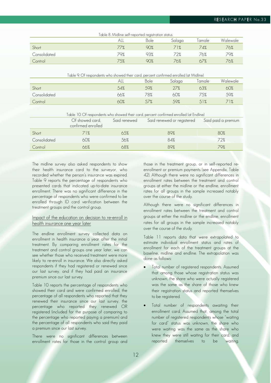|              | Table 8. Midline self-reported registration status |      |        |         |          |
|--------------|----------------------------------------------------|------|--------|---------|----------|
|              |                                                    | Bole | Salaga | l amale | Walewale |
| Short        | 77%                                                | 90%  | 71%    | 74%     | 76%      |
| Consolidated | 79%                                                | 93%  | 72%    | 76%     | 79%      |
| Control      | 75%                                                | 90%  | 76%    | 67%     | 76%      |

|              | Table 9. Of respondents who showed their card, percent confirmed enrolled (at Midline) |             |        |        |          |
|--------------|----------------------------------------------------------------------------------------|-------------|--------|--------|----------|
|              |                                                                                        | <b>Bole</b> | Salaga | Tamale | Walewale |
| Short        | 54%                                                                                    | 59%         | 27%    | 63%    | 60%      |
| Consolidated | 66%                                                                                    | 78%         | 60%    | 75%    | 59%      |
| Control      | 60%                                                                                    | 57%         | .59%   | .51%   |          |

|              | Table 10. Of respondents who showed their card, percent confirmed enrolled (at Endline) |     |                                                             |     |  |
|--------------|-----------------------------------------------------------------------------------------|-----|-------------------------------------------------------------|-----|--|
|              | Of showed card,<br>confirmed enrolled                                                   |     | Said renewed Said renewed or registered Said paid a premium |     |  |
| Short        | 71%                                                                                     | 65% | 89%                                                         | 80% |  |
| Consolidated | 60%                                                                                     | 56% | 84%                                                         | 72% |  |
| Control      | 56%                                                                                     | 58% | 89%                                                         | 79% |  |

The midline survey also asked respondents to show their health insurance card to the surveyor, who recorded whether the person's insurance was expired. Table 9 reports the percentage of respondents who presented cards that indicated up-to-date insurance enrollment. There was no significant difference in the percentage of respondents who were confirmed to be enrolled through ID card verification between the treatment groups and the control group.

## Impact of the education on decision to re-enroll in health insurance one year later

The endline enrollment survey collected data on enrollment in health insurance a year after the initial treatment. By comparing enrollment rates for the treatment and control groups one year later, we can see whether those who received treatment were more likely to re-enroll in insurance. We also directly asked respondents if they had registered or renewed since our last survey, and if they had paid an insurance premium since our last survey.

Table 10 reports the percentage of respondents who showed their card and were confirmed enrolled, the percentage of all respondents who reported that they renewed their insurance since our last survey, the percentage who reported they renewed OR registered (included for the purpose of comparing to the percentage who reported paying a premium) and the percentage of all respondents who said they paid a premium since our last survey.

There were no significant differences between enrollment rates for those in the control group and

those in the treatment group, or in self-reported reenrollment or premium payments (see Appendix, Table 42). Although there were no significant differences in enrollment rates between the treatment and control groups at either the midline or the endline, enrollment rates for all groups in the sample increased notably over the course of the study.

Although there were no significant differences in enrollment rates between the treatment and control groups at either the midline or the endline, enrollment rates for all groups in the sample increased notably over the course of the study.

Table 11 reports data that were extrapolated to estimate individual enrollment status and rates of enrollment for each of the treatment groups at the baseline, midline and endline. The extrapolation was done as follows:

- Total number of registered respondents. Assumed that among those whose registration status was unknown, the share who were actually registered was the same as the share of those who knew their registration status and reported themselves to be registered.
- Total number of respondents awaiting their enrollment card. Assumed that, among the total number of registered respondents whose "waiting for card" status was unknown, the share who were waiting was the same as the share who knew they were still waiting for their card, and reported themselves to be waiting.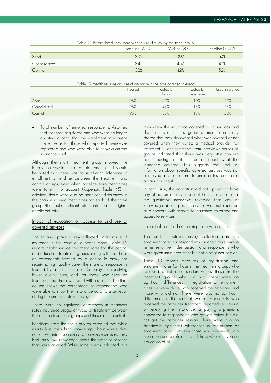|              | Baseline (2010) | Midline (2011) | Endline (2012) |
|--------------|-----------------|----------------|----------------|
| Short        | 30%             | 39%            | 54%            |
| Consolidated | 34%             | 45%            | 45%            |
| Control      | 32%             | 42%            | 52%            |

Table 11: Extrapolated enrollment over course of study, by treatment group

| Table 12. Health services and use of insurance in the case of a health event |  |
|------------------------------------------------------------------------------|--|
|------------------------------------------------------------------------------|--|

|              | Freated | Treated by<br>doctor | Treated by<br>chem. seller | Used insurance |
|--------------|---------|----------------------|----------------------------|----------------|
| Short        | 98%     | 57%                  | 19%                        | 57%            |
| Consolidated | 98%     | 48%                  | 18%                        | 53%            |
| Control      | 95%     | 53%                  | 18%                        | 62%            |

 Total number of enrolled respondents. Assumed that for those registered and who were no longer awaiting a card, that the enrollment rates were the same as for those who reported themselves registered and who were able to show a current insurance card.

Although the short treatment group showed the largest increase in estimated total enrollment, it should be noted that there was no significant difference in enrollment at endline between the treatment and control groups, even when baseline enrollment rates were taken into account (Appendix Table 45). In addition, there were also no significant differences in the change in enrollment rates for each of the three groups (the final enrollment rate, controlled for original enrollment rate).

## Impact of education on access to and use of covered services

The endline uptake survey collected data on use of insurance in the case of a health event. Table 12 reports health-service treatment rates for the control and education treatment groups, along with the share of respondents treated by a doctor (a proxy for receiving high quality care), the share of respondents treated by a chemical seller (a proxy for receiving lower quality care) and, for those who received treatment, the share who paid with insurance. The final column shows the percentage of respondents who were able to show their insurance card to a surveyor during the endline uptake survey.

There were no significant differences in treatment rates, insurance usage, or types of treatment between those in the treatment groups and those in the control.

Feedback from the focus groups revealed that while clients had fairly high knowledge about where they could use their insurance card to receive services, they had fairly low knowledge about the types of services that were covered. While some clients indicated that

they knew the insurance covered basic services and did not cover some surgeries or medication, many shared that they discovered what was covered or not covered when they visited a medical provider for treatment. Client comments from interviews across all groups indicated that there was very little concern about having all of the details about what the insurance covered. This suggests that lack of information about specific covered services was not perceived as a reason not to enroll or insurance or a barrier to using it.

In conclusion, the education did not appear to have any effect on access or use of health services; and, the qualitative interviews revealed that lack of knowledge about specific services was not reported as a concern with respect to insurance coverage and access to services.

#### Impact of a refresher training on re-enrollment

The endline uptake survey collected data on enrollment rates for respondents assigned to receive a refresher or reminder session, and respondents who were given initial treatment but not a refresher session.

Table 13 reports measures of registration and enrollment rates for those in the treatment groups who received a refresher session versus those in the treatment groups who did not. There were no significant differences in registration or enrollment rates between those who received the refresher and those who did not. There were also no significant differences in the rate at which respondents who received the refresher treatment reported registering or renewing their insurance, or paying a premium, compared to respondents who got education but did not get the refresher session. There were also no statistically significant differences in registration or enrollment rates between those who received both education and a refresher, and those who received no education at all.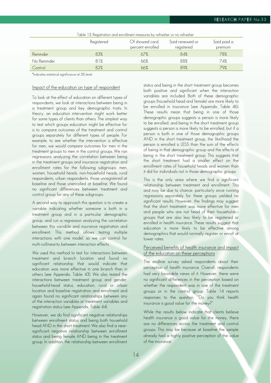|             | Registered | Of showed card,<br>percent enrolled | Said renewed or<br>registered | Said paid a<br>premium |
|-------------|------------|-------------------------------------|-------------------------------|------------------------|
| Reminder    | 83%        | 67%                                 | 84%                           | 78%                    |
| No Reminder | 81%        | 66%                                 | 88%                           | 74%                    |
| Control     | 82%        | 66%                                 | 89%                           | 79%                    |

\*Indicates statistical significance at 5% level.

## Impact of the education on type of respondent

To look at the effect of education on different types of respondents, we look at interactions between being in a treatment group and key demographic traits. In theory, an education intervention might work better for some types of clients than others. The simplest way to test which groups education might be effective for is to compare outcomes of the treatment and control groups separately for different types of people. For example, to see whether the intervention is effective for men, we would compare outcomes for men in the treatment groups to men in the control groups. We ran regressions analyzing the correlation between being in the treatment groups and insurance registration and enrollment rates for the following subgroups: men, women, household heads, non-household heads, rural respondents, urban respondents, those unregistered at baseline and those unenrolled at baseline. We found no significant differences between treatment and control group for any of these subgroups.

A second way to approach this question is to create a variable indicating whether someone is both in a treatment group and in a particular demographic group, and run a regression analyzing the correlation between this variable and insurance registration and enrollment. This method allows testing multiple interactions with one model, so we can control for multi-collinearity between interaction effects.

We used this method to test for interactions between treatment and branch location and found no significant relationship that would indicate that education was more effective in one branch than in others (see Appendix, Table 43). We also tested the interactions between treatment group and gender, household-head status, education, rural or urban location and baseline registration and enrollment and again found no significant relationships between any of the interaction variables or treatment variables and registration status (see Appendix, Table 44).

However, we do find significant negative relationships between enrollment status and being both household head AND in the short treatment. We also find a nearsignificant negative relationship between enrollment status and being female AND being in the treatment group. In addition, the relationship between enrollment

status and being in the short treatment group becomes both positive and significant when the interaction variables are included. Both of these demographic groups (household head and female) are more likely to be enrolled in insurance (see Appendix, Table 46). These results mean that being in one of those demographic groups suggests a person is more likely to be enrolled, and being in the short treatment group suggests a person is more likely to be enrolled, but if a person is both in one of those demographic groups AND in the short treatment group, the likelihood the person is enrolled is LESS than the sum of the effects of being in that demographic group and the effects of being in the short treatment group. This suggests that the short treatment had a smaller effect on the enrollment rates of household heads and women than it did for individuals not in those demographic groups.

This is the only area where we find a significant relationship between treatment and enrollment. This and may be due to chance, particularly since running regressions separately for these groups yielded no significant results. However, the findings may suggest that the short treatment was more effective for men and people who are not head of their households groups that are also less likely to be registered or enrolled in health insurance. These results suggest that education is more likely to be effective among demographics that would normally register or enroll at lower rates.

## Perceived benefits of health insurance and impact of the education on these perceptions

The endline survey asked respondents about their perception of health insurance. Overall, respondents had very favorable views of it. However, there were no significant differences in the perception based on whether the respondent was in one of the treatment groups or in the control group. Table 14 reports responses to the question, "Do you think health insurance is good value for the money?"

While the results below indicate that clients believe health insurance is good value for the money, there are no differences across the treatment and control groups. This may be because at baseline the sample already had a highly positive perception of the value of the insurance.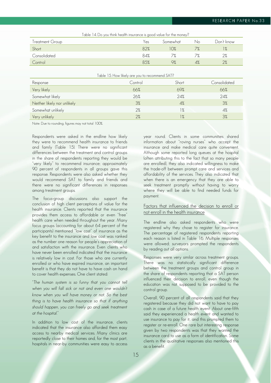| Table 14. Do you think health insurance is good value for the money? |     |          |    |            |
|----------------------------------------------------------------------|-----|----------|----|------------|
| Treatment Group                                                      | Yes | Somewhat | No | Don't know |
| Short                                                                | 82% | 10%      |    | 1%         |
| Consolidated                                                         | 84% |          |    |            |
| Control                                                              | 85% | 9%       | 4% |            |

#### Table 15. How likely are you to recommend SAT?

| Response                    | Control | Short         | Consolidated |
|-----------------------------|---------|---------------|--------------|
| Very likely                 | 66%     | 69%           | 66%          |
| Somewhat likely             | 26%     | 24%           | 24%          |
| Neither likely nor unlikely | 3%      | 4%            | 3%           |
| Somewhat unlikely           | 2%      | $\frac{9}{6}$ | 4%           |
| Very unlikely               | 2%      | $\frac{9}{6}$ | 3%           |

Note: Due to rounding, figures may not total 100%.

Respondents were asked in the endline how likely they were to recommend health insurance to friends and family (Table 15). There were no significant differences between the treatment and control groups in the share of respondents reporting they would be "very likely" to recommend insurance; approximately 90 percent of respondents in all groups gave this response. Respondents were also asked whether they would recommend SAT to family and friends and there were no significant differences in responses among treatment groups.

The focus-group discussions also support the conclusion of high client perceptions of value for the health insurance. Clients reported that the insurance provides them access to affordable or even "free" health care when needed throughout the year. Many focus groups (accounting for about 64 percent of the participants) mentioned "low cost" of insurance as the key benefit to the insurance and low cost was ranked as the number one reason for people's appreciation of and satisfaction with the insurance. Even clients who have never been enrolled indicated that the insurance is relatively low in cost. For those who are currently enrolled or who have expired insurance, an important benefit is that they do not have to have cash on hand to cover health expenses. One client stated:

*"The human system is so funny that you cannot tell*  when you will fall *sick or not and even one wouldn't*  know when you will have money or not. So the best thing is to have health insurance so that if anything should happen, you can freely go and seek treatment *at the hospital."* 

In addition to low cost of the insurance, clients indicated that the insurance also afforded them easy access to nearby medical services. Many clinics are reportedly close to their homes and, for the most part, hospitals in near-by communities were easy to access year round. Clients in some communities shared information about "roving nurses" who accept the insurance and make medical care quite convenient. Although some reported long queues at the hospital (often attributing this to the fact that so many people are enrolled), they also indicated willingness to make the trade-off between prompt care and services and affordability of the services. They also indicated that when there is an emergency that they are able to seek treatment promptly without having to worry where they will be able to find needed funds for payment.

## Factors that influenced the decision to enroll or not enroll in the health insurance

The endline also asked respondents who were registered why they chose to register for insurance. The percentage of registered respondents reporting each reason is listed in Table 16. Multiple responses were allowed; surveyors prompted the respondents by reading out all options.

Responses were very similar across treatment groups. There was no statistically significant difference between the treatment groups and control group in the share of respondents reporting that a SAT person influenced their decision to enroll, even though the education was not supposed to be provided to the control group.

Overall, 90 percent of all respondents said that they registered because they did not want to have to pay cash in case of a future health event. About one-fifth said they experienced a health event and wanted to use insurance to pay for it, and this prompted them to register or re-enroll. One rare but interesting response given by two respondents was that they wanted the insurance card to use as a form of identification. Some clients in the qualitative responses also mentioned this as a benefit.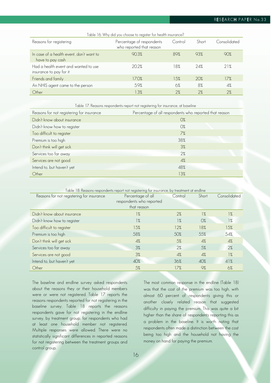## **RESEARCH PAPER No.33**

| Table 16. Why did you choose to register for health insurance?  |                                                       |         |       |              |
|-----------------------------------------------------------------|-------------------------------------------------------|---------|-------|--------------|
| Reasons for registering                                         | Percentage of respondents<br>who reported that reason | Control | Short | Consolidated |
| In case of a health event, don't want to<br>have to pay cash    | 90.3%                                                 | 89%     | 93%   | 90%          |
| Had a health event and wanted to use<br>insurance to pay for it | 20.2%                                                 | 18%     | 74%   | 21%          |
| Friends and family                                              | 17.0%                                                 | 15%     | 20%   | 17%          |
| An NHIS agent came to the person                                | 5.9%                                                  | 6%      | 8%    | 4%           |
| Other                                                           | 1.3%                                                  | 2%      | 2%    | 2%           |

Table 17. Reasons respondents report not registering for insurance, at baseline

| Reasons for not registering for insurance | Percentage of all respondents who reported that reason |
|-------------------------------------------|--------------------------------------------------------|
| Didn't know about insurance               | $O\%$                                                  |
| Didn't know how to register               | $O\%$                                                  |
| Too difficult to register                 | 7%                                                     |
| Premium is too high                       | 38%                                                    |
| Don't think will get sick                 | 3%                                                     |
| Services too far away                     | 2%                                                     |
| Services are not good                     | 4%                                                     |
| Intend to, but haven't yet                | 48%                                                    |
| Other                                     | 13%                                                    |

| Table 18: Reasons respondents report not registering for insurance, by treatment at endline |                                                              |               |               |               |
|---------------------------------------------------------------------------------------------|--------------------------------------------------------------|---------------|---------------|---------------|
| Reasons for not registering for insurance                                                   | Percentage of all<br>respondents who reported<br>that reason | Control       | Short         | Consolidated  |
|                                                                                             |                                                              |               |               |               |
| Didn't know about insurance                                                                 | 1%                                                           | 2%            | $\frac{9}{6}$ | $\frac{9}{6}$ |
| Didn't know how to register                                                                 | 1%                                                           | $\frac{9}{6}$ | $O\%$         | 1%            |
| Too difficult to register                                                                   | 15%                                                          | 12%           | 18%           | 15%           |
| Premium is too high                                                                         | 58%                                                          | 50%           | 55%           | 54%           |
| Don't think will get sick                                                                   | 4%                                                           | 5%            | 4%            | 4%            |
| Services too far away                                                                       | 3%                                                           | 2%            | 5%            | 2%            |
| Services are not good                                                                       | 3%                                                           | 4%            | 4%            | $\frac{9}{6}$ |
| Intend to, but haven't yet                                                                  | 40%                                                          | 36%           | 40%           | 41%           |
| Other                                                                                       | 5%                                                           | 17%           | 9%            | 6%            |

The baseline and endline survey asked respondents about the reasons they or their household members were or were not registered. Table 17 reports the reasons respondents reported for not registering in the baseline survey; Table 18 reports the reasons respondents gave for not registering in the endline survey, by treatment group, for respondents who had at least one household member not registered. Multiple responses were allowed. There were no statistically significant differences in reported reasons for not registering between the treatment groups and control group.

The most common response in the endline (Table 18) was that the cost of the premium was too high, with almost 60 percent of respondents giving this or another closely related reason that suggested difficulty in paying the premium. This was quite a bit higher than the share of respondents reporting this as a problem in the baseline. It is worth noting that respondents often made a distinction between the cost being too high and the household not having the money on hand for paying the premium.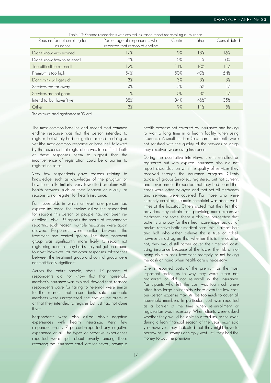| Table 19: Reasons respondents with expired insurance report not enrolling in insurance |                                 |         |       |              |
|----------------------------------------------------------------------------------------|---------------------------------|---------|-------|--------------|
| Reasons for not enrolling for                                                          | Percentage of respondents who   | Control | Short | Consolidated |
| insurance                                                                              | reported that reason at endline |         |       |              |
| Didn't know was expired                                                                | 17%                             | 19%     | 18%   | 16%          |
| Didn't know how to re-enroll                                                           | $O\%$                           | $O\%$   | $1\%$ | $O\%$        |
| Too difficult to re-enroll                                                             | 12%                             | 11%     | 10%   | 11%          |
| Premium is too high                                                                    | 54%                             | 50%     | 40%   | 54%          |
| Don't think will get sick                                                              | 3%                              | 3%      | 3%    | 3%           |
| Services too far away                                                                  | 4%                              | .5%     | 5%    | $1\%$        |
| Services are not good                                                                  | $\frac{9}{6}$                   | $O\%$   | 3%    | 1%           |
| Intend to, but haven't yet                                                             | 38%                             | 34%     | 46%   | 35%          |
| Other                                                                                  | 3%                              | 9%      | 11%   | 5%           |

\*Indicates statistical significance at 5% level.

The most common baseline and second most common endline response was that the person intended to register, but simply had not gotten around to doing so yet (the most common response at baseline), followed by the response that registration was too difficult. Both of these responses seem to suggest that the inconvenience of registration could be a barrier to registration rates.

Very few respondents gave reasons relating to knowledge, such as knowledge of the program or how to enroll; similarly, very few cited problems with health services, such as their location or quality, as reasons to not register for health insurance.

For households in which at least one person had expired insurance, the endline asked the respondent for reasons this person or people had not been reenrolled. Table 19 reports the share of respondents reporting each reason; multiple responses were again allowed. Responses were similar between the treatment and control groups. The short treatment group was significantly more likely to report not registering because they had simply not gotten around to it yet. However, for the other responses, differences between the treatment group and control group were not statistically significant.

Across the entire sample, about 17 percent of respondents did not know that that household member's insurance was expired. Beyond that, reasons respondents gave for failing to re-enroll were similar to the reasons that respondents said household members were unregistered: the cost of the premium or that they intended to register but just had not done it yet.

Respondents were also asked about negative experiences with health insurance. Very few respondents—only 7 percent—reported any negative experience at all. The types of negative experiences reported were split about evenly among those receiving the insurance card late (or never), having a

health expense not covered by insurance and having to wait a long time in a health facility when using insurance. A small number (less than 1 percent)—were not satisfied with the quality of the services or drugs they received when using insurance.

During the qualitative interviews, clients enrolled or registered but with expired insurance also did not report dissatisfaction with the quality of services they received through the insurance program. Clients across all groups (enrolled, registered but not current, and never enrolled) reported that they had heard that cards were often delayed and that not all medicines and services were covered. For those who were currently enrolled, the main complaint was about waittimes at the hospital. Others stated that they felt that providers may refrain from providing more expensive medicines. For some, there is also the perception that patients who pay for their healthcare expenses out of pocket receive better medical care (this is almost half and half who either believe this is true or false); however, most agree that whether this is the case or not, they would still rather cover their medical costs using insurance because of the lower the risk of not being able to seek treatment promptly or not having the cash on hand when health care is necessary.

Clients reported costs of the premium as the most important factor as to why they were either not registered or did not re-enroll in the insurance. Participants who felt the cost was too much were often from large households where even the low-costper-person expense may still be too much to cover all household members. In particular, cost was reported as a barrier at the time when re-enrollment or registration was necessary. When clients were asked whether they would be able to afford insurance even during a lean financial season of the year, most said yes; however, they indicated that they might have to borrow or use savings or simply wait until they had the money to pay the premium.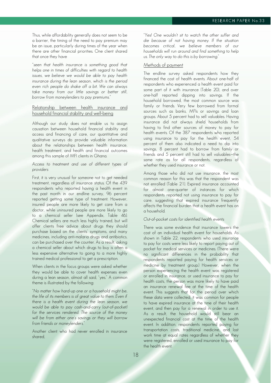Thus, while affordability generally does not seem to be a barrier, the timing of the need to pay premium may be an issue, particularly during times of the year when there are other financial priorities. One client shared that once they have

*"seen that health insur*ance is something good that helps one in times of difficulties with regard to health issues, we believe we would be able to pay health insurance during the lean season, which is the period even rich people do shake off a bit. We can always take money from our little savings or better still, *borrow from moneylenders to pay premiums."* 

## Relationship between health insurance and household financial stability and well-being

Although our study does not enable us to assign causation between household financial stability and access and financing of care, our quantitative and qualitative surveys do provide valuable information about the relationships between health insurance, health treatment, and health and financial outcomes among this sample of MFI clients in Ghana.

#### Access to treatment and use of different types of providers

First, it is very unusual for someone not to get needed treatment, regardless of insurance status. Of the 439 respondents who reported having a health event in the past month in our endline survey, 96 percent reported getting some type of treatment. However, insured people are more likely to get care from a doctor, while uninsured people are more likely to go to a chemical seller (see Appendix, Table 46). Chemical sellers are much less highly trained, but will offer clients free advice about drugs they should purchase based on the clients' symptoms, and many medicines, including anti-malaria drugs and antibiotics, can be purchased over the counter. As a result, asking a chemical seller about which drugs to buy is often a less expensive alternative to going to a more highly trained medical professional to get a prescription.

When clients in the focus groups were asked whether they would be able to cover health expenses even during a lean season, almost all said, "yes." A common theme is illustrated by the following:

*"No matter how hard*-up one or a household might be, the life of its members is of great value to them. Even if there is a health event during the lean season, we would be able to pay cash-and-carry (out-of-pocket) for the services rendered. The source of the money *will be from either one's savings or they will borrow from friends or moneylenders."* 

Another client who had never enrolled in insurance shared,

*"Yes! One wouldn't sit to wa*tch the other suffer and die because of not having money. If the situation becomes critical, we believe members of our households will run around and find something to help *us. The only way to do this is by borrowing."* 

## Methods of payment

The endline survey asked respondents how they financed the cost of health events. About one-half of respondents who experienced a health event paid for some part of it with insurance (Table 20), and over one-half reported dipping into savings. If the household borrowed, the most common source was family or friends. Very few borrowed from formal sources such as banks, MFIs or savings and loan groups. About 5 percent had to sell valuables. Having insurance did not always shield households from having to find other sources of money to pay for health events. Of the 387 respondents who reported using insurance to pay for the health event, 54 percent of them also indicated a need to dip into savings, 8 percent had to borrow from family or friends and 5 percent still had to sell valuables—the same rate as for all respondents, regardless of whether they used insurance or not.

Among those who did not use insurance, the most common reason for this was that the respondent was not enrolled (Table 21). Expired insurance accounted for almost one-quarter of instances for which respondents reported not using insurance to pay for care, suggesting that expired insurance frequently affects the financial burden that a health event has on a household.

#### Out-of-pocket costs for identified health events

There was some evidence that insurance lowers the cost of an individual health event for households. As shown in Table 22, respondents who used insurance to pay for costs were less likely to report paying out of pocket for medical services or medicines. (There were no significant differences in the probability that respondents reported paying for health services or medicine by treatment group.) However, when the person experiencing the health event was registered or enrolled in insurance, or used insurance to pay for health costs, the person was more likely to have paid an insurance renewal fee at the time of the health event. This suggests that for the period over which these data were collected, it was common for people to have expired insurance at the time of their health event, and then pay for a renewal in order to use it. As a result, the household would still bear an unexpected financial cost at the time of the health event. In addition, respondents reported paying for transportation costs, traditional medicine, and lost work time at equal rates regardless of whether they were registered, enrolled or used insurance to pay for the health event.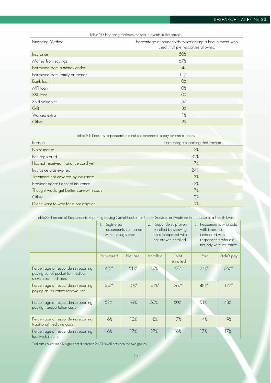| Table 20. Financing methods for health events in the sample |  |
|-------------------------------------------------------------|--|
|-------------------------------------------------------------|--|

| Financing Method                | Percentage of households experiencing a health event who<br>used (multiple responses allowed) |
|---------------------------------|-----------------------------------------------------------------------------------------------|
| Insurance                       | 50%                                                                                           |
| Money from savings              | 67%                                                                                           |
| Borrowed from a moneylender     | 4%                                                                                            |
| Borrowed from family or friends | 11%                                                                                           |
| Bank loan                       | $O\%$                                                                                         |
| MFI loan                        | 0%                                                                                            |
| S&L loan                        | $O\%$                                                                                         |
| Sold valuables                  | 5%                                                                                            |
| Gift                            | 3%                                                                                            |
| Worked extra                    | 1%                                                                                            |
| Other                           | 2%                                                                                            |

| Table 21: Reasons respondents did not use insurance to pay for consultations |                                  |  |  |
|------------------------------------------------------------------------------|----------------------------------|--|--|
| Reason                                                                       | Percentage reporting that reason |  |  |
| No response                                                                  | 2%                               |  |  |
| Isn't registered                                                             | 35%                              |  |  |
| Has not received insurance card yet                                          | 7%                               |  |  |
| Insurance was expired                                                        | 24%                              |  |  |
| Treatment not covered by insurance                                           | 3%                               |  |  |
| Provider doesn't accept insurance                                            | 12%                              |  |  |
| Thought would get better care with cash                                      | 7%                               |  |  |
| Other                                                                        | 2%                               |  |  |
| Didn't want to wait for a prescription                                       | 9%                               |  |  |

## Table22: Percent of Respondents Reporting Paying Out-of-Pocket for Health Services or Medicine in the Case of a Health Event

|                                                                                                  | Registered<br>Ι.<br>with not registered | respondents compared |          | Respondents proven<br>enrolled by showing<br>card compared with<br>not proven enrolled | 3.<br>with insurance<br>compared with | Respondents who paid<br>respondents who did<br>not pay with insurance |
|--------------------------------------------------------------------------------------------------|-----------------------------------------|----------------------|----------|----------------------------------------------------------------------------------------|---------------------------------------|-----------------------------------------------------------------------|
|                                                                                                  | Registered                              | Not reg.             | Enrolled | <b>Not</b><br>enrolled                                                                 | Paid                                  | Didn't pay                                                            |
| Percentage of respondents reporting<br>paying out of pocket for medical<br>services or medicines | 42%*                                    | $61\%$               | 40%      | 47%                                                                                    | 24%                                   | 56%*                                                                  |
| Percentage of respondents reporting<br>paying an insurance renewal fee                           | 34%                                     | $10\%$               | $41\%$ * | 26%                                                                                    | 48%*                                  | $17\%$ <sup>*</sup>                                                   |
| Percentage of respondents reporting<br>paying transportation costs                               | 52%                                     | 49%                  | 50%      | 50%                                                                                    | 51%                                   | 48%                                                                   |
| Percentage of respondents reporting<br>traditional medicine costs                                | 6%                                      | 10%                  | 8%       | 7%                                                                                     | 4%                                    | 9%                                                                    |
| Percentage of respondents reporting<br>lost work income                                          | 16%                                     | 17%                  | 17%      | 16%                                                                                    | 17%                                   | 17%                                                                   |

\*Indicates a statistically significant difference (at 5% level) between the two groups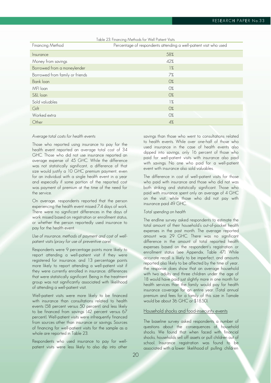|                                 | Table 23. Financing Methods for Well Patient Visits               |
|---------------------------------|-------------------------------------------------------------------|
| Financing Method                | Percentage of respondents attending a well-patient visit who used |
| Insurance                       | 58%                                                               |
| Money from savings              | 42%                                                               |
| Borrowed from a moneylender     | 1%                                                                |
| Borrowed from family or friends | 7%                                                                |
| Bank loan                       | $O\%$                                                             |
| MFI loan                        | $O\%$                                                             |
| S&L loan                        | $O\%$                                                             |
| Sold valuables                  | 1%                                                                |
| Gift                            | $O\%$                                                             |
| Worked extra                    | $O\%$                                                             |
| Other                           | 4%                                                                |

#### Average total costs for health events

Those who reported using insurance to pay for the health event reported an average total cost of 34 GHC. Those who did not use insurance reported an average expense of 45 GHC. While the difference was not statistically significant, a difference of that size would justify a 10 GHC premium payment, even for an individual with a single health event in a year and especially if some portion of the reported cost was payment of premium at the time of the need for the service.

On average, respondents reported that the person experiencing the health event missed 7.4 days of work. There were no significant differences in the days of work missed based on registration or enrollment status, or whether the person reportedly used insurance to pay for the health event.

#### Use of insurance, methods of payment and cost of wellpatient visits (proxy for use of preventive care)

Respondents were 9 percentage points more likely to report attending a well-patient visit if they were registered for insurance, and 13 percentage points more likely to report attending a well-patient visit if they were currently enrolled in insurance; differences that were statistically significant. Being in the treatment group was not significantly associated with likelihood of attending a well-patient visit.

Well-patient visits were more likely to be financed with insurance than consultations related to health events (58 percent versus 50 percent) and less likely to be financed from savings (42 percent versus 67 percent). Well-patient visits were infrequently financed from sources other than insurance or savings. Sources of financing for well-patient visits for the sample as a whole are reported in Table 23.

Respondents who used insurance to pay for wellpatient visits were less likely to also dip into other

savings than those who went to consultations related to health events. While over one-half of those who used insurance in the case of health events also dipped into savings, only 16 percent of those who paid for well-patient visits with insurance also paid with savings. No one who paid for a well-patient event with insurance also sold valuables.

The difference in cost of well-patient visits for those who paid with insurance and those who did not was both striking and statistically significant. Those who paid with insurance spent only an average of 4 GHC on the visit, while those who did not pay with insurance paid 49 GHC.

#### Total spending on health

The endline survey asked respondents to estimate the total amount of their household's out-of-pocket health expenses in the past month. The average reported amount was 29 GHC. There was no significant difference in the amount of total reported health expenses based on the respondent's registration or enrollment status (see Appendix, Table 47). While accurate recall is likely to be imperfect, and amounts reported also likely to be affected by the time of year, the response does show that an average household with two adults and three children under the age of 18 would have paid just slightly more in one month for health services than the family would pay for health insurance coverage for an entire year. (Total annual premium and fees for a family of this size in Tamale would be about 36 GHC or \$18.50).

#### Household shocks and food-insecurity events

The baseline survey asked respondents a number of questions about the consequences of household shocks. We found that when faced with financial shocks, households sell off assets or pull children out of school. Insurance registration was found to be associated with a lower likelihood of pulling children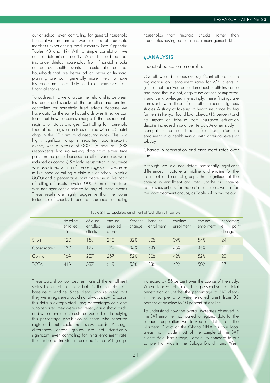out of school, even controlling for general household financial welfare, and a lower likelihood of household members experiencing food insecurity (see Appendix, Tables 48 and 49). With a simple correlation, we cannot determine causality. While it could be that insurance shields households from financial shocks caused by health events, it could also be that households that are better off or better at financial planning are both generally more likely to have insurance and more likely to shield themselves from financial shocks.

To address this, we analyze the relationship between insurance and shocks at the baseline and endline, controlling for household fixed effects. Because we have data for the same households over time, we can tease out how outcomes change if the respondent's registration status changes. Controlling for household fixed effects, registration is associated with a 0.6 point drop in the 12-point food-insecurity index. This is a highly significant drop in reported food insecurity events, with a p-value of 0.000. (A total of 1,388 respondents had no missing data from either time point on the panel because no other variables were included as controls.) Similarly, registration in insurance was associated with an 8 percentage-point decrease in likelihood of pulling a child out of school (p-value 0.000) and 3 percentage-point decrease in likelihood of selling off assets (p-value 0.054). Enrollment status was not significantly related to any of these events. These results are highly suggestive that the lower incidence of shocks is due to insurance protecting

households from financial shocks, rather than households having better financial management skills.

## **4.ANALYSIS**

#### Impact of education on enrollment

Overall, we did not observe significant differences in registration and enrollment rates for MFI clients in groups that received education about health insurance and those that did not, despite indications of improved insurance knowledge. Interestingly, these findings are consistent with those from other recent rigorous studies. A study of take-up of health insurance by tea farmers in Kenya found low take-up (16 percent) and no impact on take-up from insurance education despite increased insurance literacy. Another study in Senegal found no impact from education on enrollment in a health mutual with differing levels of subsidy.

## Change in registration and enrollment rates over time

Although we did not detect statistically significant differences in uptake at midline and endline for the treatment and control groups, the magnitude of the change in enrollment and total uptake did change rather substantially for the entire sample as well as for the short treatment groups, as Table 24 shows below.

|              | Baseline<br>enrolled<br>clients | Midline<br>enrolled<br>clients | Endline<br>enrolled<br>clients | Percent<br>change | Baseline<br>enrollment | Midline<br>enrollment | Endline<br>enrollment | Percentag<br>point<br>e<br>change |
|--------------|---------------------------------|--------------------------------|--------------------------------|-------------------|------------------------|-----------------------|-----------------------|-----------------------------------|
| Short        | 120                             | 158                            | 218                            | 82%               | 30%                    | 39%                   | 54%                   | 24                                |
| Consolidated | 130                             | 172                            | 174                            | 34%               | 34%                    | 45%                   | 45%                   |                                   |
| Control      | 169                             | 207                            | 257                            | 52%               | 32%                    | 42%                   | 52%                   | 20                                |
| <b>TOTAL</b> | 419                             | 537                            | 649                            | 55%               | 33%                    | 42%                   | 50%                   | 17                                |

#### Table 24: Extrapolated enrollment of SAT clients in sample

These data show our best estimate of the enrollment status for all of the individuals in the sample from baseline to endline. Since clients who reported that they were registered could not always show ID cards, this data is extrapolated using percentages of clients who reported they were registered, could show cards, and where enrollment could be verified, and applying this percentage distribution to those who reported registered but could not show cards. Although differences across groups are not statistically significant, even controlling for initial enrollment rate, the number of individuals enrolled in the SAT groups increased by 55 percent over the course of the study. When looked at from the perspective of total penetration or uptake, the percentage of SAT clients in the sample who were enrolled went from 33 percent at baseline to 50 percent at endline.

To understand how the overall increases observed in the SAT enrollment compared to regional data for the broader population we looked at data from the Northern District of the Ghana NHIA for four local areas that include most of the sample of the SAT clients: Bole, East Gonja, Tamale (to compare to our sample that was in the Salaga Branch) and West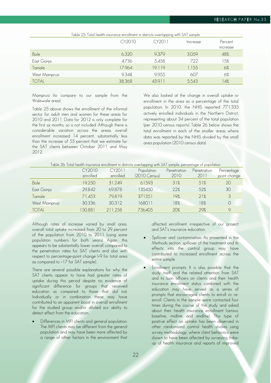| Table 25: Total health insurance enrollment in districts overlapping with SAT sample | CY2010 | CY2011 | Increase | Percent  |
|--------------------------------------------------------------------------------------|--------|--------|----------|----------|
|                                                                                      |        |        |          | increase |
| Bole                                                                                 | 6,320  | 9,379  | 3,059    | 48%      |
| East Gonja                                                                           | 4,736  | 5,458  | 722      | 15%      |
| Tamale                                                                               | 17,964 | 19,119 | 1,155    | 6%       |
| West Mamprusi                                                                        | 9,348  | 9,955  | 607      | 6%       |
| <b>TOTAL</b>                                                                         | 38,368 | 43,911 | 5,543    | 14%      |

Mamprusi (to compare to our sample from the Walewale area).

Table 25 above shows the enrollment of the informal sector for adult men and women for these areas for 2010 and 2011. Data for 2012 is only complete for the first six months, so is not included. Although there is considerable variation across the areas, overall enrollment increased 14 percent, substantially less than the increase of 55 percent that we estimate for the SAT clients between October 2011 and May 2012.

We also looked at the change in overall uptake or enrollment in the area as a percentage of the total population. In 2010, the NHIS reported 771,335 actively enrolled individuals in the Northern District, representing about 34 percent of the total population (per 2010 census reports). Table 26 below shows the total enrollment in each of the smaller areas where data was reported by the NHIS divided by the small area population (2010 census data).

| Table 26: Total health insurance enrollment in districts overlapping with SAT sample, percentage of population |  |  |
|----------------------------------------------------------------------------------------------------------------|--|--|
|----------------------------------------------------------------------------------------------------------------|--|--|

|               | CY2010   | CY2011   | Population    | Penetration | Penetration | Percentage   |
|---------------|----------|----------|---------------|-------------|-------------|--------------|
|               | enrolled | enrolled | (2010 Census) | 2010        | 2011        | point change |
| Bole          | 19,250   | 31,249   | 61593         | 31%         | 51%         | 20           |
| East Gonja    | 29,842   | 69,878   | 135450        | 22%         | .52%        | 30           |
| Tamale        | 71,453   | 79.819   | 371351        | 19%         | 21%         | 3            |
| West Mamprusi | 30,336   | 30,312   | 168011        | 18%         | 18%         | $\Omega$     |
| <b>TOTAL</b>  | 150,881  | 211,258  | 736405        | 20%         | 29%         | $\mathsf{Q}$ |

Although rates of increase varied by small area, overall total uptake increased from 20 to 29 percent of the population from 2010 to 2011 (using same population numbers for both years). Again, this appears to be substantially lower overall compared to the penetration rates for SAT clients and also with respect to percentage-point change (+9 for total area as compared to +17 for SAT sample).

There are several possible explanations for why the SAT clients appear to have had greater rates of uptake during this period despite no evidence of significant difference for groups that received education as compared to those that did not. Individually or in combination these may have contributed to an apparent boost in overall enrollment for the studied group and/or diluted our ability to detect effect from the education.

 Differences in MFI clients and general population. The MFI clients may be different from the general population and may have been more affected by a range of other factors in the environment that affected enrollment irrespective of our project and SAT's insurance education.

- Spillover and contamination. As presented in the Methods section, spillover of the treatment and its effects into the control group may have contributed to increased enrollment across the entire sample.
- Enrollment prompts. It is also possible that the study itself and the related attention from SAT and its loan officers on clients and their health insurance enrollment status combined with the education may have served as a series of prompts that encouraged clients to enroll or reenroll. Clients in the sample were contacted four times during the course of the study and asked about their health insurance enrollment (census, baseline, midline and endline). This type of positive effect on uptake has been observed in other randomized control health studies using survey methodology, where client behaviors were shown to have been affected by surveying (takeup of health insurance and reports of improved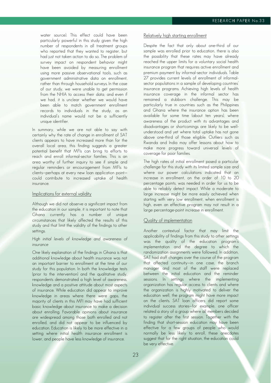water source). This effect could have been particularly powerful in this study given the high number of respondents in all treatment groups who reported that they wanted to register, but had just not taken action to do so. The problem of survey impact on respondent behavior might have been avoided by measuring enrollment using more passive observational tools, such as government administrative data on enrollment, rather than through household surveys. In the case of our study, we were unable to get permission from the NHIA to access their data; and even if we had, it is unclear whether we would have been able to match government enrollment records to individuals in the study, as an individual's name would not be a sufficiently unique identifier.

In summary, while we are not able to say with certainly why the rate of change in enrollment of SAT clients appears to have increased more than for the overall local area, this finding suggests a greater potential benefit that MFIs can bring to efforts to reach and enroll informal-sector families. This is an area worthy of further inquiry to see if simple and regular reminders or encouragement from MFIs to clients—perhaps at every new loan application point could contribute to increased uptake of health insurance.

#### Implications for external validity

Although we did not observe a significant impact from the education in our sample, it is important to note that Ghana currently has a number of unique circumstances that likely affected the results of this study and that limit the validity of the findings to other settings.

### High initial levels of knowledge and awareness of insurance

One likely explanation of the findings in Ghana is that additional knowledge about health insurance was not an important barrier to enrollment at the time of our study for this population. In both the knowledge tests (prior to the intervention) and the qualitative study, respondents demonstrated a high level of awareness, knowledge and a positive attitude about most aspects of insurance. While education did appear to improve knowledge in areas where there were gaps, the majority of clients in this MFI may have had sufficient basic knowledge about insurance to make a decision about enrolling. Favorable opinions about insurance are widespread among those both enrolled and not enrolled, and did not appear to be influenced by education. Education is likely to be more effective in a setting where initial health insurance enrollment is lower, and people have less knowledge of insurance.

#### Relatively high starting enrollment

Despite the fact that only about one-third of our sample was enrolled prior to education, there is also the possibility that these rates may have already reached the upper limits for a voluntary social health insurance program that requires active enrollment and premium payment by informal-sector individuals. Table 27 provides current levels of enrollment of informalsector populations in a sample of developing countries' insurance programs. Achieving high levels of health insurance coverage in the informal sector has remained a stubborn challenge. This may be particularly true in countries such as the Philippines and Ghana where the insurance option has been available for some time (about ten years), where awareness of the product with its advantages and disadvantages or shortcomings are likely to be wellunderstood and yet where total uptake has not gone above one-third of those eligible. Outliers such as Rwanda and India may offer lessons about how to make more progress toward universal levels of coverage for poor families.

The high rates of initial enrollment posed a particular challenge for this study with its limited sample size and where our power calculations indicated that an increase in enrollment, on the order of 10 to 20 percentage points, was needed in order for us to be able to reliably detect impact. While a moderate to large increase might be more easily achieved when starting with very low enrollment, when enrollment is high, even an effective program may not result in a large percentage-point increase in enrollment.

## Quality of implementation

Another contextual factor that may limit the applicability of findings from this study to other settings was the quality of the education program's implementation and the degree to which the randomization assignments were followed. In addition, SAT had staff changes over the course of the program that affected continuity—in one case, the branch manager and most of the staff were replaced between the initial education and the reminder sessions. In settings where the implementing organization has regular access to clients and where the organization is highly motivated to deliver the education well, the program might have more impact on the clients. SAT loan officers did report some individual success stories—for example, one officer related a story of a group where all members decided to register after the first session. Together with the finding that short-session education may have been effective for a few groups of people who would normally be less likely to enroll, these anecdotes suggest that for the right situation, the education could be very effective.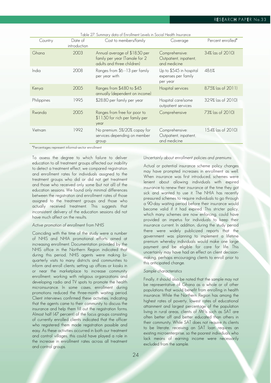| Country     | Date of<br>introduction | Cost to members/family                                                                        | Coverage                                                   | Percent enrolled*  |
|-------------|-------------------------|-----------------------------------------------------------------------------------------------|------------------------------------------------------------|--------------------|
| Ghana       | 2003                    | Annual average of \$18.50 per<br>family per year (Tamale for 2)<br>adults and three children) | Comprehensive:<br>Outpatient, inpatient,<br>and medicine   | 34% (as of 2010)   |
| India       | 2008                    | Ranges from \$6 - 13 per family<br>per year with                                              | Up to \$545 in hospital<br>expenses per family<br>per year | 48.6%              |
| Kenya       | 2005                    | Ranges from \$4.80 to \$45<br>annually (dependent on income)                                  | Hospital services                                          | 8.75% (as of 2011) |
| Philippines | 1995                    | \$28.80 per family per year                                                                   | Hospital care/some<br>outpatient services                  | 32.9% (as of 2010) |
| Rwanda      | 2005                    | Ranges from free for poor to<br>\$11.50 for rich per family per<br>year                       | Comprehensive                                              | 73% (as of 2010)   |
| Vietnam     | 1992                    | No premium. 5%/20% copay for<br>services depending on member<br>group                         | Comprehensive:<br>Outpatient, inpatient,<br>and medicine   | 15.4% (as of 2010) |

\*Percentages represent informal-sector enrollment

To assess the degree to which failure to deliver education to all treatment groups affected our inability to detect a treatment effect, we compared registration and enrollment rates for individuals assigned to the treatment groups who did or did not get treatment and those who received only some (but not all) of the education sessions. We found only minimal differences between the registration and enrollment rates of those assigned to the treatment groups and those who actually received treatment. This suggests that inconsistent delivery of the education sessions did not have much affect on the results.

## Active promotion of enrollment from NHIS

Coinciding with the time of the study were a number of NHIS and NHIA promotional efforts aimed at increasing enrollment. Documentation provided by the NHIS office in the Northern Region indicated that during this period, NHIS agents were making biquarterly visits to many districts and communities to inform and enroll clients; setting up offices or kiosks in or near the marketplace to increase community enrollment; working with religious organizations and developing radio and TV spots to promote the health microinsurance. In some cases, enrollment during promotions reduced the three-month waiting period. Client interviews confirmed these activities, indicating that the agents came to their community to discuss the insurance and help them fill out the registration forms. Almost half (47 percent) of the focus groups consisting of currently enrolled clients indicated that the officer who registered them made registration possible and easy. As these activities occurred in both our treatment and control villages, this could have played a role in the increase in enrollment rates across all treatment and control groups.

#### Uncertainly about enrollment policies and premiums

Actual or potential insurance scheme policy changes may have prompted increases in enrollment as well. When insurance was first introduced, schemes were lenient about allowing individuals with expired insurance to renew their insurance at the time they got sick and wanted to use it. The NHIA has recently pressured schemes to require individuals to go through a 90-day waiting period before their insurance would become valid if it had expired. This stricter policy, which many schemes are now enforcing, could have provided an impetus for individuals to keep their insurance current. In addition, during the study period there were widely publicized reports that the government was planning to implement a lifetime premium whereby individuals would make one large payment and be eligible for care for life. This uncertainly may have had an effect on client decisionmaking, perhaps encouraging clients to enroll prior to this anticipated change.

#### Sample characteristics

Finally, it should also be noted that the sample may not be representative of Ghana as a whole or of other populations that would benefit from enrolling in health insurance. While the Northern Region has among the highest rates of poverty, lowest rates of educational attainment and largest percentage of the population living in rural areas, clients of MFIs such as SAT are often better off and better educated than others in their community. While SAT does not require its clients to be literate, receiving an SAT loan requires an existing microenterprise, so the poorest individuals who lack means of earning income were necessarily excluded from the sample.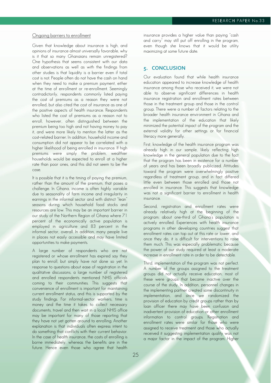#### Ongoing barriers to enrollment

Given that knowledge about insurance is high, and opinions of insurance almost universally favorable, why is it that so many Ghanaians remain unregistered? One hypothesis that seems consistent with our data and observations as well as with the findings from other studies is that liquidity is a barrier even if total cost is not. People often do not have the cash on hand when they need to make a premium payment, either at the time of enrollment or re-enrollment. Seemingly contradictorily, respondents commonly listed paying the cost of premiums as a reason they were not enrolled, but also cited the cost of insurance as one of the positive aspects of health insurance. Respondents who listed the cost of premiums as a reason not to enroll, however, often distinguished between the premium being too high and not having money to pay it, and were more likely to mention the latter as the cost-related barrier. In addition, household income and consumption did not appear to be correlated with a higher likelihood of being enrolled in insurance. If high premiums were simply the problem, wealthier households would be expected to enroll at a higher rate than poor ones, and this did not seem to be the case.

It is possible that it is the timing of paying the premium, rather than the amount of the premium, that poses a challenge. In Ghana, income is often highly variable due to seasonality of farm income and irregularity in earnings in the informal sector and with distinct "lean" seasons during which household food stocks and resources are low. This may be an important barrier in our study of the Northern Region of Ghana where 71 percent of the economically active population is employed in agriculture and 83 percent in the informal sector, overall. In addition, many people live in places not easily accessible and may have limited opportunities to make payments.

A large number of respondents who are not registered or whose enrollment has expired say they plan to enroll, but simply have not done so yet. In response to questions about ease of registration in the qualitative discussions, a large number of registered and enrolled respondents mentioned NHIS officials coming to their communities. This suggests that convenience of enrollment is important for maintaining current enrollment status, and this is supported by the study findings. For informal-sector workers, time is money and the time it takes to collect necessary documents, travel and then wait in a local NHIS office may be important for many of those reporting that they have not yet gotten around to enrolling. Another explanation is that individuals often express intent to do something that conflicts with their current behavior. In the case of health insurance, the costs of enrolling is borne immediately, whereas the benefits are in the future. Hence even those who agree that health

insurance provides a higher value than paying "cash and carry" may still put off enrolling in the program, even though she knows that it would be utility maximizing at some future date.

## **5. CONCLUSION**

Our evaluation found that while health insurance education appeared to increase knowledge of health insurance among those who received it, we were not able to observe significant differences in health insurance registration and enrollment rates between those in the treatment group and those in the control group. There were a number of factors relating to the broader health insurance environment in Ghana and the implementation of the education that likely minimized the potential impact of the program and the external validity for other settings or for financial literacy more generally.

First, knowledge of the health insurance program was already high in our sample, likely reflecting high knowledge in the general population due to the fact that the program has been in existence for a number of years and has been broadly publicized. Attitudes toward the program were overwhelmingly positive regardless of treatment group, and in fact differed little even between those enrolled and those not enrolled in insurance. This suggests that knowledge was not a significant barrier to enrollment in health insurance.

Second, registration and enrollment rates were already relatively high at the beginning of the program; about one-third of Ghana's population is actively enrolled. Experiences with health insurance programs in other developing countries suggest that enrollment rates can top out at this rate or lower, and once they do, it is difficult for interventions to raise them much. This was especially problematic because the power of our study required at least a moderate increase in enrollment rate in order to be detectable.

Third, implementation of the program was not perfect. A number of the groups assigned to the treatment groups did not actually receive education; most of these were groups that became inactive over the course of the study. In addition, personnel changes in the implementing partner created some discontinuity in implementation, and since we randomized the provision of education by credit groups rather than by loan officer there may have been confusion and inadvertent provision of education or other enrollment information to control groups. Registration and enrollment rates were similar for those who were assigned to receive treatment and those who actually received it suggesting implementation quality was not a major factor in the impact of the program. Higher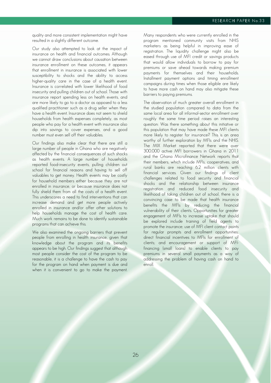quality and more consistent implementation might have resulted in a slightly different outcome.

Our study also attempted to look at the impact of insurance on health and financial outcomes. Although we cannot draw conclusions about causation between insurance enrollment on these outcomes, it appears that enrollment in insurance is associated with lower susceptibility to shocks and the ability to access higher-quality care in the case of a health event. Insurance is correlated with lower likelihood of food insecurity and pulling children out of school. Those with insurance report spending less on health events, and are more likely to go to a doctor as opposed to a less qualified practitioner such as a drug seller when they have a health event. Insurance does not seem to shield households from health expenses completely, as most people who pay for a health event with insurance also dip into savings to cover expenses, and a good number must even sell off their valuables.

Our findings also make clear that there are still a large number of people in Ghana who are negatively affected by the financial consequences of such shocks as health events. A large number of households reported food-insecurity events, pulling children out school for financial reasons and having to sell off valuables to get money. Health events may be costly for household members either because they are not enrolled in insurance, or because insurance does not fully shield them from all the costs of a health event. This underscores a need to find interventions that can increase demand and get more people actively enrolled in insurance and/or offer other solutions to help households manage the cost of health care. Much work remains to be done to identify sustainable programs that can achieve this.

We also examined the ongoing barriers that prevent people from enrolling in health insurance, given that knowledge about the program and its benefits appears to be high. Our findings suggest that although most people consider the cost of the program to be reasonable, it is a challenge to have the cash to pay for the program on hand when payment is due and when it is convenient to go to make the payment. Many respondents who were currently enrolled in the program mentioned community visits from NHIS marketers as being helpful in improving ease of registration. The liquidity challenge might also be eased through use of MFI credit or savings products that would allow individuals to borrow to pay for premiums or save ahead towards making premium payments for themselves and their households. Installment payment options and timing enrollment campaigns during times when those eligible are likely to have more cash on hand may also mitigate these barriers to paying premiums.

The observation of much greater overall enrollment in the studied population compared to data from the same local area for all informal-sector enrollment over roughly the same time period raises an interesting question: Was there something about this initiative or this population that may have made these MFI clients more likely to register for insurance? This is an area worthy of further exploration by MFIs and the NHIS. The MIX Market reported that there were over 300,000 active MFI borrowers in Ghana in 2011 and the Ghana Microfinance Network reports that their members, which include MFIs, cooperatives, and rural banks are reaching 6.2 million clients with financial services. Given our findings of client challenges related to food security and financial shocks and the relationship between insurance registration and reduced food insecurity and likelihood of taking children out of school, there is a convincing case to be made that health insurance benefits the MFIs by reducing the financial vulnerability of their clients. Opportunities for greater engagement of MFIs to increase uptake that should be explored include training of field agents to promote the insurance; use of MFI client contact points for regular prompts and enrollment opportunities; direct financial incentives to MFIs for enrollment of clients; and encouragement or support of MFIfinancing (small loans) to enable clients to pay premiums in several small payments as a way of addressing the problem of having cash on hand to enroll.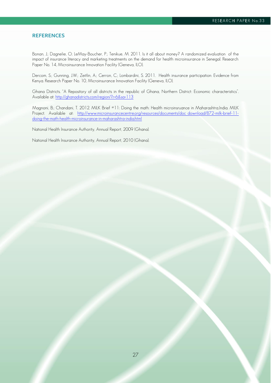### **REFERENCES**

Bonan, J.; Dagnelie, O; LeMay-Boucher, P.; Tenikue, M. 2011. Is it all about money? A randomized evaluation of the impact of insurance literacy and marketing treatments on the demand for health microinsurance in Senegal. Research Paper No. 14, Microinsurance Innovation Facility (Geneva, ILO).

Dercom, S.; Gunning, J.W.; Zeitlin, A.; Cerron, C.; Lombardini, S. 2011. Health insurance participation: Evidence from Kenya. Research Paper No. 10, Microinsurance Innovation Facility (Geneva, ILO).

Ghana Districts. "A Repository of all districts in the republic of Ghana, Northern District: Economic characteristics". Available at:<http://ghanadistricts.com/region/?r=6&sa=113>

Magnoni, B.; Chandani, T. 2012. MILK Brief #11: Doing the math: Health microinsruance in Maharashtra,India. MILK Project. Available at: [http://www.microinsurancecentre.org/resources/documents/doc\\_download/872-milk-brief-11](http://www.microinsurancecentre.org/resources/documents/doc_download/872-milk-brief-11-doing-the-math-health-microinsurance-in-maharashtra-india.html) [doing-the-math-health-microinsurance-in-maharashtra-india.html](http://www.microinsurancecentre.org/resources/documents/doc_download/872-milk-brief-11-doing-the-math-health-microinsurance-in-maharashtra-india.html)

National Health Insurance Authority, Annual Report, 2009 (Ghana).

National Health Insurance Authority, Annual Report, 2010 (Ghana).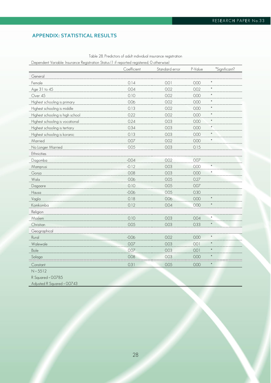# **APPENDIX: STATISTICAL RESULTS**

|                                  | Coefficient | Standard error | P-Value | *Significant? |
|----------------------------------|-------------|----------------|---------|---------------|
| General                          |             |                |         |               |
| Female                           | 0.14        | 0.01           | 0.00    | *             |
| Age 31 to 45                     | 0.04        | 0.02           | 0.02    | $\ast$        |
| Over 45                          | 0.10        | 0.02           | 0.00    | $\ast$        |
| Highest schooling is primary     | 0.06        | 0.02           | 0.00    | *             |
| Highest schooling is middle      | 0.13        | 0.02           | 0.00    | ×             |
| Highest schooling is high school | 0.22        | 0.02           | 0.00    |               |
| Highest schooling is vocational  | 0.24        | 0.03           | 0.00    | $\ast$        |
| Highest schooling is tertiary    | 0.34        | 0.03           | 0.00    | ×             |
| Highest schooling is koranic     | 0.13        | 0.03           | 0.00    | $\ast$        |
| Married                          | 0.07        | 0.02           | 0.00    | *             |
| No Longer Married                | 0.05        | 0.03           | 0.15    |               |
| Ethnicities                      |             |                |         |               |
| Dagomba                          | $-0.04$     | 0.02           | 0.07    |               |
| Mamprusi                         | $-0.12$     | 0.03           | 0.00    | ×             |
| Gonja                            | 0.08        | 0.03           | 0.00    | *             |
| Wala                             | 0.06        | 0.05           | 0.27    |               |
| Dagaare                          | 0.10        | 0.05           | 0.07    |               |
| Hausa                            | $-0.06$     | 0.05           | 0.30    |               |
| Vagla                            | 0.18        | 0.06           | 0.00    | *             |
| Komkomba                         | 0.12        | 0.04           | 0.00    | *             |
| Religion                         |             |                |         |               |
| Moslem                           | 0.10        | 0.03           | 0.04    | $\ast$        |
| Christian                        | 0.05        | 0.03           | 0.33    | $\ast$        |
| Geographical                     |             |                |         |               |
| Rural                            | $-0.06$     | 0.02           | 0.00    | *             |
| Walewale                         | 0.07        | 0.03           | 0.01    | *             |
| Bole                             | 0.07        | 0.03           | 0.01    | $\ast$        |
| Salaga                           | 0.08        | 0.03           | 0.00    | $\ast$        |
| Constant                         | 0.31        | 0.05           | 0.00    | $\ast$        |
| $N = 5512$                       |             |                |         |               |
| R Squared = 0.0785               |             |                |         |               |
| Adjusted R Squared = 0.0743      |             |                |         |               |

Table 28. Predictors of adult individual insurance registration

Dependent Variable: Insurance Registration Status (1 if reported registered, 0 otherwise)

28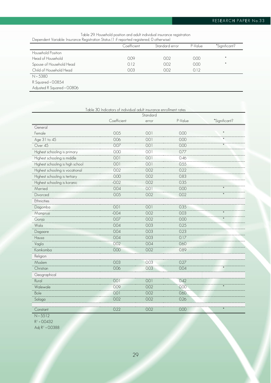| Table 29. Household position and adult individual insurance registration                  |  |
|-------------------------------------------------------------------------------------------|--|
| Dependent Variable: Insurance Registration Status (1 if reported registered, 0 otherwise) |  |

| poportaonni i antao novi anco noglenianoni oranov (il miloportoa rogletorod) o omor mooj |             |                |         |               |
|------------------------------------------------------------------------------------------|-------------|----------------|---------|---------------|
|                                                                                          | Coefficient | Standard error | P-Value | *Significant? |
| Household Position                                                                       |             |                |         |               |
| Head of Household                                                                        | 0.09        | 0.02           | 0.00    | *             |
| Spouse of Household Head                                                                 | 0.12        | 0.02           | 0.00    | $\ast$        |
| Child of Household Head                                                                  | 0.03        | 0.02           | 0.12    |               |
| $N = 5380$                                                                               |             |                |         |               |
| R Squared = 0.0854                                                                       |             |                |         |               |
| Adjusted R Squared = 0.0806                                                              |             |                |         |               |

|                                  | Table 30. Indicators of individual adult insurance enrollment rates | Standard |         |               |
|----------------------------------|---------------------------------------------------------------------|----------|---------|---------------|
|                                  | Coefficient                                                         | error    | P-Value | *Significant? |
| General                          |                                                                     |          |         |               |
| Female                           | 0.05                                                                | 0.01     | 0.00    | *             |
| Age 31 to 45                     | 0.06                                                                | 0.01     | 0.00    | $*$           |
| Over 45                          | 0.07                                                                | 0.01     | 0.00    | $\ast$        |
| Highest schooling is primary     | 0.00                                                                | 0.01     | 0.77    |               |
| Highest schooling is middle      | 0.01                                                                | 0.01     | 0.46    |               |
| Highest schooling is high school | 0.01                                                                | 0.01     | 0.55    |               |
| Highest schooling is vocational  | 0.02                                                                | 0.02     | 0.22    |               |
| Highest schooling is tertiary    | 0.00                                                                | 0.02     | 0.83    |               |
| Highest schooling is koranic     | $-0.02$                                                             | 0.02     | 0.35    |               |
| Married                          | 0.04                                                                | 0.01     | 0.00    | $\ast$        |
| Divorced                         | 0.05                                                                | 0.02     | 0.02    | $\ast$        |
| Ethnicities                      |                                                                     |          |         |               |
| Dagomba                          | 0.01                                                                | 0.01     | 0.35    |               |
| Mamprusi                         | $-0.04$                                                             | 0.02     | 0.03    | $\ast$        |
| Gonja                            | 0.07                                                                | 0.02     | 0.00    | $\ast$        |
| Wala                             | 0.04                                                                | 0.03     | 0.25    |               |
| Dagaare                          | 0.04                                                                | 0.03     | 0.23    |               |
| Hausa                            | 0.04                                                                | 0.03     | 0.17    |               |
| Vagla                            | 0.02                                                                | 0.04     | 0.60    |               |
| Komkomba                         | 0.00                                                                | 0.02     | 0.89    |               |
| Religion                         |                                                                     |          |         |               |
| Moslem                           | 0.03                                                                | 0.03     | 0.27    |               |
| Christian                        | 0.06                                                                | 0.03     | 0.04    | $\ast$        |
| Geographical                     |                                                                     |          |         |               |
| Rural                            | 0.01                                                                | 0.01     | 0.42    |               |
| Walewale                         | 0.09                                                                | 0.02     | 0.00    | $\ast$        |
| Bole                             | 0.01                                                                | 0.02     | 0.60    |               |
| Salaga                           | 0.02                                                                | 0.02     | 0.26    |               |
| Constant                         | 0.22                                                                | 0.02     | 0.00    | $\ast$        |
| $N = 5512$                       |                                                                     |          |         |               |

 $R^2 = 0.0432$ 

Adj R² = 0.0388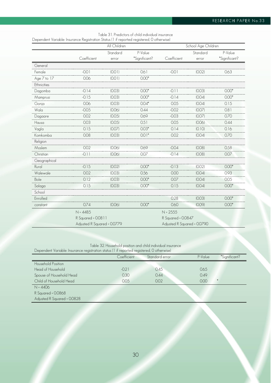|              |                             | All Children |               | School Age Children         |          |               |  |
|--------------|-----------------------------|--------------|---------------|-----------------------------|----------|---------------|--|
|              |                             | Standard     | P-Value       |                             | Standard | P-Value       |  |
|              | Coefficient                 | error        | *Significant? | Coefficient                 | error    | *Significant? |  |
| General      |                             |              |               |                             |          |               |  |
| Female       | $-0.01$                     | (O.O1)       | 0.61          | $-0.01$                     | (0.02)   | 0.63          |  |
| Age 7 to 17  | 0.06                        | (O.O1)       | $0.00*$       |                             |          |               |  |
| Ethnicities  |                             |              |               |                             |          |               |  |
| Dagomba      | $-0.14$                     | (O.03)       | $0.00*$       | $-0.11$                     | (0.03)   | $0.00*$       |  |
| Mamprusi     | $-0.15$                     | (0.03)       | $0.00*$       | $-0.14$                     | (0.04)   | $0.00*$       |  |
| Gonja        | 0.06                        | (O. O3)      | $0.04*$       | 0.05                        | (O.04)   | 0.15          |  |
| Wala         | $-0.05$                     | (0.06)       | 0.44          | $-0.02$                     | (O.07)   | 0.81          |  |
| Dagaare      | 0.02                        | (O.05)       | 0.69          | $-0.03$                     | (0.07)   | 0.70          |  |
| Hausa        | 0.03                        | (O.05)       | 0.51          | 0.05                        | (0.06)   | 0.44          |  |
| Vagla        | 0.15                        | (0.07)       | $0.03*$       | 0.14                        | (0.10)   | 0.16          |  |
| Komkomba     | 0.08                        | (0.03)       | $0.01*$       | 0.02                        | (0.04)   | 0.70          |  |
| Religion     |                             |              |               |                             |          |               |  |
| Moslem       | 0.02                        | (0.06)       | 0.69          | $-0.04$                     | (0.08)   | 0.58          |  |
| Christian    | $-0.11$                     | (0.06)       | 0.07          | $-0.14$                     | (0.08)   | 0.07          |  |
| Geographical |                             |              |               |                             |          |               |  |
| Rural        | $-0.15$                     | (0.02)       | $0.00*$       | $-0.13$                     | (0.02)   | $0.00*$       |  |
| Walewale     | 0.02                        | (O. O3)      | 0.56          | 0.00                        | (0.04)   | 0.93          |  |
| Bole         | 0.12                        | (O. O3)      | $0.00*$       | 0.07                        | (O.04)   | 0.05          |  |
| Salaga       | 0.15                        | (O.03)       | $0.00*$       | 0.15                        | (O.04)   | $0.00*$       |  |
| School       |                             |              |               |                             |          |               |  |
| Enrolled     |                             |              |               | 0.28                        | (O. O3)  | $0.00*$       |  |
| constant     | 0.74                        | (0.06)       | $0.00*$       | 0.60                        | (0.09)   | $0.00*$       |  |
|              | $N = 4485$                  |              |               | $N = 2555$                  |          |               |  |
|              | R Squared = 0.0811          |              |               | R Squared = 0.0847          |          |               |  |
|              | Adjusted R Squared = 0.0779 |              |               | Adjusted R Squared = 0.0790 |          |               |  |

Table 31. Predictors of child individual insurance

Table 32. Household position and child individual insurance

Dependent Variable: Insurance registration status (1 if reported registered, 0 otherwise)

|                             | Coefficient | Standard error | P-Value | *Significant? |
|-----------------------------|-------------|----------------|---------|---------------|
| Household Position          |             |                |         |               |
| Head of Household           | $-0.21$     | 0.45           | 0.65    |               |
| Spouse of Household Head    | 0.30        | 0.44           | 0.49    |               |
| Child of Household Head     | 0.05        | 0.02           | 0.00    |               |
| $N = 4406$                  |             |                |         |               |
| R Squared = 0.0868          |             |                |         |               |
| Adjusted R Squared = 0.0828 |             |                |         |               |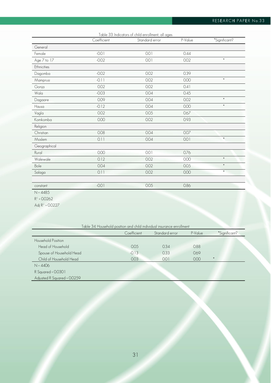# RESEARCH PAPER No.33

|                | Coefficient | Table 33. Indicators of child enrollment, all ages<br>Standard error | P-Value | *Significant? |
|----------------|-------------|----------------------------------------------------------------------|---------|---------------|
| General        |             |                                                                      |         |               |
| Female         | $-0.01$     | 0.01                                                                 | 0.44    |               |
| Age 7 to 17    | $-0.02$     | 0.01                                                                 | 0.02    | $\ast$        |
| Ethnicities    |             |                                                                      |         |               |
| Dagomba        | $-0.02$     | 0.02                                                                 | 0.39    |               |
| Mamprusi       | $-0.11$     | 0.02                                                                 | 0.00    | $\ast$        |
| Gonja          | 0.02        | 0.02                                                                 | 0.41    |               |
| Wala           | $-0.03$     | 0.04                                                                 | 0.45    |               |
| Dagaare        | 0.09        | 0.04                                                                 | 0.02    | $\ast$        |
| Hausa          | $-0.12$     | 0.04                                                                 | 0.00    | $\ast$        |
| Vagla          | 0.02        | 0.05                                                                 | 0.67    |               |
| Komkomba       | 0.00        | 0.02                                                                 | 0.93    |               |
| Religion       |             |                                                                      |         |               |
| Christian      | 0.08        | 0.04                                                                 | 0.07    |               |
| Moslem         | 0.11        | 0.04                                                                 | 0.01    | $\ast$        |
| Geographical   |             |                                                                      |         |               |
| Rural          | 0.00        | 0.01                                                                 | 0.76    |               |
| Walewale       | 0.12        | 0.02                                                                 | 0.00    | $\ast$        |
| Bole           | 0.04        | 0.02                                                                 | 0.05    | $\ast$        |
| Salaga         | 0.11        | 0.02                                                                 | 0.00    | $\ast$        |
|                |             |                                                                      |         |               |
| constant       | $-0.01$     | 0.05                                                                 | 0.86    |               |
| $N = 4485$     |             |                                                                      |         |               |
| $R^2 = 0.0262$ |             |                                                                      |         |               |

Adj R² = 0.0227

| Table 34. Household position and child individual insurance enrollment |             |                |         |               |  |  |
|------------------------------------------------------------------------|-------------|----------------|---------|---------------|--|--|
|                                                                        | Coefficient | Standard error | P-Value | *Significant? |  |  |
| Household Position                                                     |             |                |         |               |  |  |
| Head of Household                                                      | 0.05        | 0.34           | 0.88    |               |  |  |
| Spouse of Household Head                                               | $-0.13$     | 0.33           | 0.69    |               |  |  |
| Child of Household Head                                                | 0.03        | 0.01           | 0.00    |               |  |  |
| $N = 4406$                                                             |             |                |         |               |  |  |
| R Squared = 0.0301                                                     |             |                |         |               |  |  |
| Adjusted R Squared = 0.0259                                            |             |                |         |               |  |  |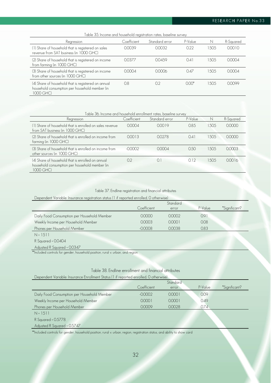Table 35. Income and household registration rates, baseline survey

| <u>, apic oo. mcomo ana noosonoia roqishanon raios, pasemio servo j</u>                                            |             |                |         |        |           |
|--------------------------------------------------------------------------------------------------------------------|-------------|----------------|---------|--------|-----------|
| Regression                                                                                                         | Coefficient | Standard error | P-Value | N      | R-Sauared |
| (1) Share of household that is registered on sales<br>revenue from SAT business (in 1000 GHC)                      | 0.0039      | 0.0032         | 0.22    | 1.50.5 | 0.0010    |
| (2) Share of household that is registered on income<br>from farming (in 1000 GHC)                                  | 0.0377      | 00459          | 041     | 505    | 0.0004    |
| (3) Share of household that is registered on income<br>from other sources (in 1000 GHC)                            | 0.0004      | 0.0006         | 047     | 505    | 0.0004    |
| (4) Share of household that is registered on annual<br>household consumption per household member (in<br>1000 GHC) | 0.8         | 0.2            | $000*$  | 1.50.5 | 00099     |

| Table 36. Income and household enrollment rates, baseline survey                                                 |             |                |         |        |           |  |
|------------------------------------------------------------------------------------------------------------------|-------------|----------------|---------|--------|-----------|--|
| Regression                                                                                                       | Coefficient | Standard error | P-Value | N      | R-Squared |  |
| (1) Share of household that is enrolled on sales revenue<br>from SAT business (in 1000 GHC)                      | 0.0004      | 0.0019         | 0.85    | 1.50.5 | 00000     |  |
| (2) Share of household that is enrolled on income from<br>farming (in 1000 GHC)                                  | 0.0013      | 0.0278         | 0.41    | 1505   | 00000     |  |
| (3) Share of household that is enrolled on income from<br>other sources (in 1000 GHC)                            | $-0.0002$   | 0.0004         | 0.50    | 1505   | 0.0003    |  |
| (4) Share of household that is enrolled on annual<br>household consumption per household member (in<br>1000 GHC) | 02          | $\Omega$       | 012     | 1505   | 0.0016    |  |

## Table 37. Endline registration and financial attributes

Dependent Variable: Insurance registration status (1 if reported enrolled, 0 otherwise)

|                                             |             | Standard |         |               |
|---------------------------------------------|-------------|----------|---------|---------------|
|                                             | Coefficient | error    | P-Value | *Sianificant? |
| Daily Food Consumption per Household Member | 0.0000      | 0.0002   | 091     |               |
| Weekly Income per Household Member          | 0.0003      | 00001    | 0.08    |               |
| Phones per Household Member                 | $-00008$    | 00038    | 0.83    |               |
| $N = 1511$                                  |             |          |         |               |

R Squared = 0.0404

Adjusted R Squared = 0.0347

\*\*Included controls for gender, household position, rural v. urban, and region

## Table 38. Endline enrollment and financial attributes

| Dependent Variable: Insurance Enrollment Status (1 if reported enrolled, 0 otherwise) |              |          |         |                |  |  |  |
|---------------------------------------------------------------------------------------|--------------|----------|---------|----------------|--|--|--|
|                                                                                       |              | Standard |         |                |  |  |  |
|                                                                                       | Coefficient. | error    | P-Value | *Sianificant?" |  |  |  |
| Daily Food Consumption per Household Member                                           | $-0.0002$    | 00001    | 0.09    |                |  |  |  |
| Weekly Income per Household Member                                                    | 0.0001       | 00001    | 0.49    |                |  |  |  |
| Phones per Household Member                                                           | 0.0009       | 00028    | 0.74    |                |  |  |  |
| $N = 1511$                                                                            |              |          |         |                |  |  |  |

R Squared = 0.5778

Adjusted R Squared = 0.5747

\*\*Included controls for gender, household position, rural v. urban, region, registration status, and ability to show card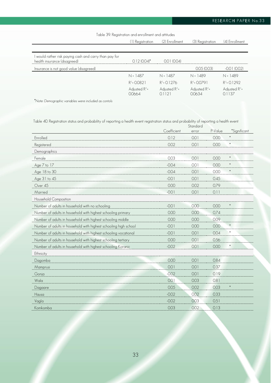# RESEARCH PAPER No.33

## Table 39. Registration and enrollment and attitudes

|                                                                                        | (1) Registration           | (2) Enrollment          | (3) Registration           | (4) Enrollment             |
|----------------------------------------------------------------------------------------|----------------------------|-------------------------|----------------------------|----------------------------|
|                                                                                        |                            |                         |                            |                            |
| I would rather risk paying cash and carry than pay for<br>health insurance (disagreed) | $0.12(0.04)^*$             | 0.01(0.04)              |                            |                            |
| Insurance is not good value (disagreed)                                                |                            |                         | 0.05(0.03)                 | $-0.01(0.02)$              |
|                                                                                        | $N = 1487$                 | $N = 1487$              | $N = 1489$                 | $N = 1489$                 |
|                                                                                        | $R^2 = 0.0821$             | $R^2 = 0.1276$          | $R^2 = 0.0791$             | $R^2 = 0.1292$             |
|                                                                                        | Adjusted $R^2$ =<br>0.0664 | Adjusted $R^2$ =<br>121 | Adjusted $R^2$ =<br>0.0634 | Adjusted $R^2$ =<br>0.1137 |

\*Note: Demographic variables were included as contols

Table 40. Registration status and probability of reporting a health event registration status and probability of reporting a health event

|                                                                  |             | Standard |         |              |
|------------------------------------------------------------------|-------------|----------|---------|--------------|
|                                                                  | Coefficient | error    | P-Value | *Significant |
| Enrolled                                                         | 0.12        | 0.01     | 0.00    | $\ast$       |
| Registered                                                       | 0.02        | 0.01     | 0.00    |              |
| Demographics                                                     |             |          |         |              |
| Female                                                           | 0.03        | 0.01     | 0.00    | *            |
| Age 7 to 17                                                      | $-0.04$     | 0.01     | 0.00    | $\ast$       |
| Age 18 to 30                                                     | $-0.04$     | 0.01     | 0.00    | *            |
| Age 31 to 45                                                     | $-0.01$     | 0.01     | 0.45    |              |
| Over 45                                                          | 0.00        | 0.02     | 0.79    |              |
| Married                                                          | $-0.01$     | 0.01     | 0.11    |              |
| Household Composition                                            |             |          |         |              |
| Number of adults in household with no schooling                  | $-0.01$     | 0.00     | 0.00    |              |
| Number of adults in household with highest schooling primary     | 0.00        | 0.00     | 0.74    |              |
| Number of adults in household with highest schooling middle      | 0.00        | 0.00     | 0.09    |              |
| Number of adults in household with highest schooling high school | $-0.01$     | 0.00     | 0.00    |              |
| Number of adults in household with highest schooling vocational  | $-0.01$     | 0.01     | 0.04    |              |
| Number of adults in household with highest schooling tertiary    | 0.00        | 0.01     | 0.56    |              |
| Number of adults in household with highest schooling Koranic     | $-0.02$     | 0.01     | 0.00    | $\ast$       |
| Ethnicity                                                        |             |          |         |              |
| Dagomba                                                          | 0.00        | 0.01     | 0.84    |              |
| Mamprusi                                                         | 0.01        | 0.01     | 0.37    |              |
| Gonja                                                            | $-0.02$     | 0.01     | 0.19    |              |
| Wala                                                             | 0.01        | 0.03     | 0.81    |              |
| Dagaare                                                          | 0.05        | 0.02     | 0.03    |              |
| Hausa                                                            | $-0.02$     | 0.02     | 0.33    |              |
| Vagla                                                            | $-0.02$     | 0.03     | 0.51    |              |
| Komkomba                                                         | 0.03        | 0.02     | 0.13    |              |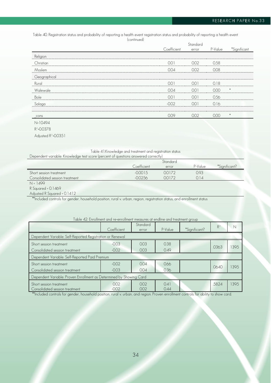Table 40. Registration status and probability of reporting a health event registration status and probability of reporting a health event (continued)

**Coefficient** Standard error P-Value \*Significant Religion Christian 0.01 0.02 0.58 Moslem 0.04 0.02 0.08 **Geographical** Rural 0.01 0.01 0.18 Walewale 0.04 0.01 0.00 \* Bole 0.01 0.01 0.56 Salaga -0.02 0.01 0.16 \_cons 0.09 0.02 0.00 \* N=10494

R²=0.0378

Adjusted R²=0.0351

| Table 41.Knowledge and treatment and registration status                           |
|------------------------------------------------------------------------------------|
| Dependent variable: Knowledge test score (percent of questions answered correctly) |

|                                |             | Standard |         |               |
|--------------------------------|-------------|----------|---------|---------------|
|                                | Coefficient | error    | P-Value | *Sianificant? |
| Short session treatment        | $-0.0015$   | 00172    | 0.93    |               |
| Consolidated session treatment | 00256       | 00172    | 014     |               |
| $\overline{M}$ $\overline{M}$  |             |          |         |               |

1499

R Squared = 0.1469 Adjusted R Squared = 0.1412

\*\*Included controls for gender, household position, rural v. urban, region, registration status, and enrollment status

| able 4Z: Enrollment and re-enrollment measures at endline and treatment group |             |                 |                          |                                                                                                                      |                |      |
|-------------------------------------------------------------------------------|-------------|-----------------|--------------------------|----------------------------------------------------------------------------------------------------------------------|----------------|------|
|                                                                               |             | Standard        |                          |                                                                                                                      | R <sup>2</sup> | N    |
|                                                                               | Coefficient | error           | P-Value                  | *Significant?                                                                                                        |                |      |
| Dependent Variable: Self-Reported Registration or Renewal                     |             |                 |                          |                                                                                                                      |                |      |
| Short session treatment                                                       | $-0.03$     | 0 <sub>03</sub> | 0.38                     |                                                                                                                      | .0363          | 1395 |
| Consolidated session treatment                                                | $-0.02$     | 0.03            | 0.49                     |                                                                                                                      |                |      |
| Dependent Variable: Self-Reported Paid Premium                                |             |                 |                          |                                                                                                                      |                |      |
| Short session treatment                                                       | $-0.02$     | 0.04            | 0.66                     |                                                                                                                      | .0640          | 1395 |
| Consolidated session treatment                                                | $-0.03$     | 0.04            | 0.36                     |                                                                                                                      |                |      |
| Dependent Variable: Proven Enrollment as Determined by Showing Card           |             |                 |                          |                                                                                                                      |                |      |
| Short session treatment                                                       | 0.02        | 0.02            | 0.41                     |                                                                                                                      | .5824          | 1395 |
| Consolidated session treatment                                                | $-0.02$     | 0.02            | 0.44                     |                                                                                                                      |                |      |
| ** III . IC . III                                                             |             |                 | <b>Contract Contract</b> | $\mathbf{1}$ $\mathbf{1}$ $\mathbf{1}$ $\mathbf{1}$ $\mathbf{1}$ $\mathbf{1}$ $\mathbf{1}$ $\mathbf{1}$ $\mathbf{1}$ |                |      |

#### Table 42: Enrollment and re-enrollment measures at endline and treatment group

\*\*Included controls for gender, household position, rural v. urban, and region. Proven enrollment controls for ability to show card.

34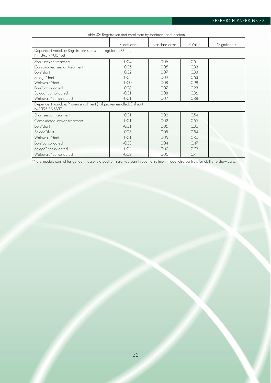| Table 43: Registration and enrollment by treatment and location                                      |                                                                        |                |         |               |  |  |  |
|------------------------------------------------------------------------------------------------------|------------------------------------------------------------------------|----------------|---------|---------------|--|--|--|
|                                                                                                      | Coefficient                                                            | Standard error | P-Value | *Significant? |  |  |  |
| Dependent variable: Registration status (1 if registered, 0 if not)<br>N=1395 R <sup>2</sup> =0.0468 |                                                                        |                |         |               |  |  |  |
| Short session treatment                                                                              | $-0.04$                                                                | 0.06           | 0.51    |               |  |  |  |
| Consolidated session treatment                                                                       | 0.05                                                                   | 0.05           | 0.33    |               |  |  |  |
| Bole <sup>*</sup> short                                                                              | 0.02                                                                   | 0.07           | 0.83    |               |  |  |  |
| Salaga*short                                                                                         | 0 <sub>04</sub>                                                        | 0.09           | 0.63    |               |  |  |  |
| Walewale*short                                                                                       | 0.00                                                                   | 0.08           | 0.98    |               |  |  |  |
| Bole <sup>*</sup> consolidated                                                                       | $-0.08$                                                                | 0.07           | 0.23    |               |  |  |  |
| Salaga <sup>*</sup> consolidated                                                                     | $-0.01$                                                                | 0.08           | 0.86    |               |  |  |  |
| Walewale* consolidated                                                                               | $-0.01$                                                                | 0.07           | 0.88    |               |  |  |  |
| N=1395 R <sup>2</sup> =5830                                                                          | Dependent variable: Proven enrollment (1 if proven enrolled, 0 if not) |                |         |               |  |  |  |
| Short session treatment                                                                              | 0.01                                                                   | 0.02           | 0.54    |               |  |  |  |
| Consolidated session treatment                                                                       | $-0.01$                                                                | 0.02           | 0.65    |               |  |  |  |
| Bole <sup>*</sup> short                                                                              | $-0.01$                                                                | 0.05           | 0.80    |               |  |  |  |
| Salaga*short                                                                                         | 0.05                                                                   | 0.08           | 0.54    |               |  |  |  |
| Walewale*short                                                                                       | $-0.01$                                                                | 0.05           | 0.80    |               |  |  |  |
| Bole <sup>*</sup> consolidated                                                                       | $-0.03$                                                                | 0.04           | 0.47    |               |  |  |  |
| Salaga <sup>*</sup> consolidated                                                                     | 0.02                                                                   | 0.07           | 0.75    |               |  |  |  |
| Walewale* consolidated                                                                               | $-0.02$                                                                | 0.05           | 071     |               |  |  |  |

\*Note: models control for gender, household position, rural v. urban. Proven enrollment model also controls for ability to show card.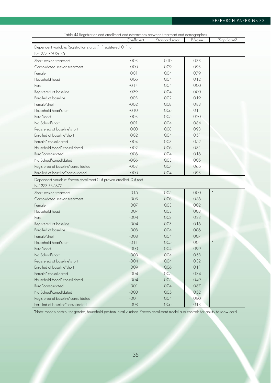| Table 44 Registration and enrollment and interactions between treatment and demographics             |             |                |         |               |
|------------------------------------------------------------------------------------------------------|-------------|----------------|---------|---------------|
|                                                                                                      | Coefficient | Standard error | P-Value | *Significant? |
| Dependent variable: Registration status (1 if registered, 0 if not)<br>N=1277 R <sup>2</sup> =0.2636 |             |                |         |               |
| Short session treatment                                                                              | $-0.03$     | 0.10           | 0.78    |               |
| Consolidated session treatment                                                                       | 0.00        | 0.09           | 0.98    |               |
| Female                                                                                               | 0.01        | 0.04           | 0.79    |               |
| Household head                                                                                       | 0.06        | 0.04           | 0.12    |               |
| Rural                                                                                                | $-0.14$     | 0.04           | 0.00    |               |
| Registered at baseline                                                                               | 0.39        | 0.04           | 0.00    |               |
| Enrolled at baseline                                                                                 | 0.03        | 0.02           | 0.19    |               |
| Female*short                                                                                         | $-0.02$     | 0.08           | 0.83    |               |
| Household head*short                                                                                 | $-0.10$     | 0.06           | 0.11    |               |
| Rural*short                                                                                          | 0.08        | 0.05           | 0.20    |               |
| No School*short                                                                                      | 0.01        | 0.04           | 0.84    |               |
| Registered at baseline*short                                                                         | 0.00        | 0.08           | 0.98    |               |
| Enrolled at baseline*short                                                                           | 0.02        | 0.04           | 0.51    |               |
| Female <sup>*</sup> consolidated                                                                     | 0.04        | 0.07           | 0.52    |               |
| Household Head* consolidated                                                                         | $-0.02$     | 0.06           | 0.81    |               |
| Rural*consolidated                                                                                   | 0.06        | 0.04           | 0.16    |               |
| No School*consolidated                                                                               | $-0.06$     | 0.03           | 0.05    |               |
| Registered at baseline*consolidated                                                                  | $-0.03$     | 0.07           | 0.65    |               |
| Enrolled at baseline*consolidated                                                                    | 0.00        | 0.04           | 0.98    |               |
| Dependent variable: Proven enrollment (1 if proven enrolled, 0 if not)                               |             |                |         |               |
| N=1277 R <sup>2</sup> =5877                                                                          |             |                |         |               |
| Short session treatment                                                                              | 0.15        | 0.05           | 0.00    | $\ast$        |
| Consolidated session treatment                                                                       | 0.03        | 0.06           | 0.56    |               |
| Female                                                                                               | 0.07        | 0.03           | 0.02    |               |
| Household head                                                                                       | 0.07        | 0.03           | 0.03    |               |
| Rural                                                                                                | $-0.04$     | 0.03           | 0.23    |               |
| Registered at baseline                                                                               | $-0.04$     | 0.03           | 0.16    |               |
| Enrolled at baseline                                                                                 | $-0.08$     | 0.04           | 0.06    |               |
| Female*short                                                                                         | $-0.08$     | 0.04           | 0.07    |               |
| Household head*short                                                                                 | $-0.11$     | 0.05           | 0.01    | $\ast$        |
| Rural*short                                                                                          | $-0.00$     | 0.04           | 0.99    |               |
| No School*short                                                                                      | $-0.03$     | 0.04           | 0.53    |               |
| Registered at baseline*short                                                                         | $-0.04$     | 0.04           | 0.32    |               |
| Enrolled at baseline*short                                                                           | 0.09        | 0.06           | 0.11    |               |
| Female* consolidated                                                                                 | $-0.04$     | 0.05           | 0.34    |               |
| Household Head* consolidated                                                                         | $-0.04$     | 0.05           | 0.49    |               |
| Rural*consolidated                                                                                   | 0.01        | 0.04           | 0.87    |               |
| No School*consolidated                                                                               | $-0.03$     | 0.05           | 0.52    |               |
| Registered at baseline*consolidated                                                                  | $-0.01$     | 0.04           | 0.80    |               |
| Enrolled at baseline*consolidated                                                                    | 0.08        | 0.06           | 0.18    |               |

\*Note: models control for gender, household position, rural v. urban. Proven enrollment model also controls for ability to show card.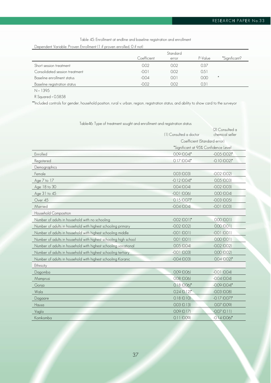Table 45: Enrollment at endline and baseline registration and enrollment

Dependent Variable: Proven Enrollment (1 if proven enrolled, 0 if not)

|                                |             | Standard |               |               |
|--------------------------------|-------------|----------|---------------|---------------|
|                                | Coefficient | error    | P-Value       | *Significant? |
| Short session treatment        | 0.02        | 002      | 737           |               |
| Consolidated session treatment | $-0.01$     | 002      | D.51          |               |
| Baseline enrollment status     | $-0.04$     | 001      | 0.00          | *             |
| Baseline registration status   | $-007$      | ากว      | $\rightarrow$ |               |

N = 1395

R Squared = 0.5858

\*\*Included controls for gender, household position, rural v. urban, region, registration status, and ability to show card to the surveyor

|                                                                  | (1) Consulted a doctor               | (2) Consulted a<br>chemical seller |
|------------------------------------------------------------------|--------------------------------------|------------------------------------|
|                                                                  | Coefficient (Standard error)         |                                    |
|                                                                  | *Significant at 95% Confidence Level |                                    |
| Enrolled                                                         | $0.09$ $(0.04)$ <sup>*</sup>         | $-0.05(0.02)$ *                    |
| Registered                                                       | $0.17(0.04)$ *                       | $-0.10(0.02)*$                     |
| Demographics                                                     |                                      |                                    |
| Female                                                           | 0.03(0.03)                           | $-0.02(0.02)$                      |
| Age 7 to 17                                                      | $-0.12(0.04)$ *                      | 0.05(0.03)                         |
| Age 18 to 30                                                     | 0.04(0.04)                           | $-0.02(0.03)$                      |
| Age 31 to 45                                                     | $-0.01$ (0.06)                       | 0.00(0.04)                         |
| Over 45                                                          | $0.15(0.07)^*$                       | $-0.03(0.05)$                      |
| Married                                                          | $-0.04(0.04)$                        | $-0.01(0.03)$                      |
| Household Composition                                            |                                      |                                    |
| Number of adults in household with no schooling                  | $-0.02$ (0.01)*                      | 0.00(0.01)                         |
| Number of adults in household with highest schooling primary     | $-0.02(0.02)$                        | 0.00(0.01)                         |
| Number of adults in household with highest schooling middle      | $-0.01(0.01)$                        | $-0.01(0.01)$                      |
| Number of adults in household with highest schooling high school | 0.01(0.01)                           | 0.00(0.01)                         |
| Number of adults in household with highest schooling vocational  | 0.05(0.04)                           | $-0.02(0.02)$                      |
| Number of adults in household with highest schooling tertiary    | $-0.01(0.03)$                        | 0.00(0.02)                         |
| Number of adults in household with highest schooling Koranic     | $-0.04(0.03)$                        | $0.04(0.02)$ *                     |
| Ethnicity                                                        |                                      |                                    |
| Dagomba                                                          | 0.09(0.06)                           | $-0.01(0.04)$                      |
| Mamprusi                                                         | $0.08$ $(0.06)$                      | $-0.04(0.04)$                      |
| Gonja                                                            | $0.18(0.06)*$                        | $-0.09(0.04)$ *                    |
| Wala                                                             | $0.24(0.12)$ *                       | $-0.03(0.08)$                      |
| Dagaare                                                          | 0.18(0.10)                           | $-0.17(0.07)^*$                    |
| Hausa                                                            | 0.03(0.13)                           | 0.07(0.09)                         |
| Vagla                                                            | 0.09(0.17)                           | $-0.07(0.11)$                      |
| Komkomba                                                         | 0.11(0.09)                           | $-0.14(0.06)*$                     |

Table46: Type of treatment sought and enrollment and registration status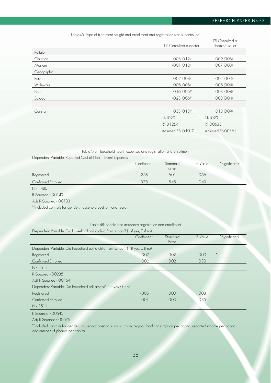# RESEARCH PAPER No.33

#### Table46: Type of treatment sought and enrollment and registration status (continued)

|            | (1) Consulted a doctor           | (2) Consulted a<br>chemical seller |
|------------|----------------------------------|------------------------------------|
| Religion   |                                  |                                    |
| Christian  | $-0.03(0.12)$                    | 0.09(0.08)                         |
| Moslem     | $-0.01(0.12)$                    | 0.07(0.08)                         |
| Geographic |                                  |                                    |
| Rural      | 0.02(0.04)                       | 0.01(0.03)                         |
| Walewale   | $-0.05(0.06)$                    | 0.05(0.04)                         |
| Bole       | $-0.16(0.06)*$                   | 0.08(0.04)                         |
| Salaga     | $-0.28$ (0.06)*                  | 0.03(0.04)                         |
|            |                                  |                                    |
| Constant   | $0.58$ (0.13)*                   | 0.13(0.09)                         |
|            | $N=1029$                         | $N=1029$                           |
|            | $R^2 = 0.1264$                   | $R^2 = 0.0633$                     |
|            | Adjusted R <sup>2</sup> =-0.1010 | Adjusted R <sup>2</sup> =0.0361    |

## Table478: Household health expenses and registration and enrollment

| Dependent Variable: Reported Cost of Health Event Expenses |  |  |  |
|------------------------------------------------------------|--|--|--|
|                                                            |  |  |  |

|                    | Coefficient | <b>Standard</b> | P-Value | *Significant? |
|--------------------|-------------|-----------------|---------|---------------|
|                    |             | error           |         |               |
| Registered         | $-2.58$     | 6.01            | 0.66    |               |
| Confirmed Enrolled | 378         | 5.45            | 0.49    |               |
|                    |             |                 |         |               |

N = 1486

R Squared = 0.0149

Adj. R Squared = 0.0103

\*\*Included controls for gender, household position, and region

#### Table 48: Shocks and insurance registration and enrollment

| Dependent Variable: Did household pull a child from school? (1 if yes, 0 if no) |  |
|---------------------------------------------------------------------------------|--|
|---------------------------------------------------------------------------------|--|

|                                                                                 | Coefficient | Standard | P-Value | *Significant? |
|---------------------------------------------------------------------------------|-------------|----------|---------|---------------|
|                                                                                 |             | Error    |         |               |
| Dependent Variable: Did household pull a child from school? (1 if yes, 0 if no) |             |          |         |               |
| Registered                                                                      | $-0.07$     | 0.02     | 0.00    |               |
| Confirmed Enrolled                                                              | 0.02        | 0.02     | 0.30    |               |
| $N = 1511$                                                                      |             |          |         |               |
| R Squared = 0.0235                                                              |             |          |         |               |
| Adj. R Squared = 0.0164                                                         |             |          |         |               |
| Dependent Variable: Did household sell assets? (1 if yes, 0 if no)              |             |          |         |               |
| Registered                                                                      | $-0.05$     | 0.03     | 0.08    |               |
| Confirmed Enrolled                                                              | 0.01        | 0.03     | 0.35    |               |
| $N = 1511$                                                                      |             |          |         |               |

#### R Squared = 0.0645

Adj. R Squared = 0.0576

\*\*Included controls for gender, household position, rural v. urban, region, food consumption per capita, reported income per capita, and number of phones per capita.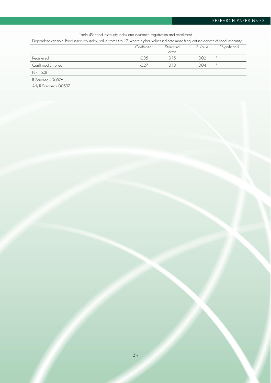# RESEARCH PAPER No.33

Table 49: Food insecurity index and insurance registration and enrollment

Dependent variable: Food insecurity index, value from 0 to 12, where higher values indicate more frequent incidences of food insecurity

|                    | Coefficient | Standard | P-Value | *Significant? |
|--------------------|-------------|----------|---------|---------------|
|                    |             | error    |         |               |
| Registered         | $-0.35$     | 0.15     | 0.02    |               |
| Confirmed Enrolled |             | 013      | 0.04    | $\ast$        |
| $N = 1508$         |             |          |         |               |
|                    |             |          |         |               |

R Squared = 0.0576 Adj. R Squared = 0.0507